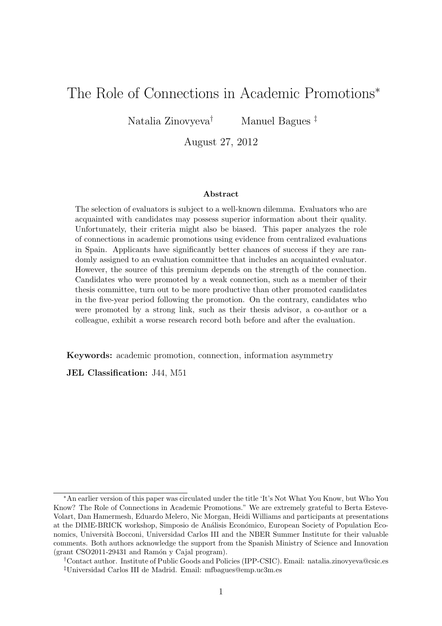# The Role of Connections in Academic Promotions<sup>∗</sup>

Natalia Zinovyeva† Manuel Bagues ‡

August 27, 2012

#### Abstract

The selection of evaluators is subject to a well-known dilemma. Evaluators who are acquainted with candidates may possess superior information about their quality. Unfortunately, their criteria might also be biased. This paper analyzes the role of connections in academic promotions using evidence from centralized evaluations in Spain. Applicants have significantly better chances of success if they are randomly assigned to an evaluation committee that includes an acquainted evaluator. However, the source of this premium depends on the strength of the connection. Candidates who were promoted by a weak connection, such as a member of their thesis committee, turn out to be more productive than other promoted candidates in the five-year period following the promotion. On the contrary, candidates who were promoted by a strong link, such as their thesis advisor, a co-author or a colleague, exhibit a worse research record both before and after the evaluation.

Keywords: academic promotion, connection, information asymmetry

JEL Classification: J44, M51

<sup>∗</sup>An earlier version of this paper was circulated under the title 'It's Not What You Know, but Who You Know? The Role of Connections in Academic Promotions." We are extremely grateful to Berta Esteve-Volart, Dan Hamermesh, Eduardo Melero, Nic Morgan, Heidi Williams and participants at presentations at the DIME-BRICK workshop, Simposio de Análisis Económico, European Society of Population Economics, Universit`a Bocconi, Universidad Carlos III and the NBER Summer Institute for their valuable comments. Both authors acknowledge the support from the Spanish Ministry of Science and Innovation  $(grant \ CSO2011-29431$  and Ramón y Cajal program).

<sup>†</sup>Contact author. Institute of Public Goods and Policies (IPP-CSIC). Email: natalia.zinovyeva@csic.es ‡Universidad Carlos III de Madrid. Email: mfbagues@emp.uc3m.es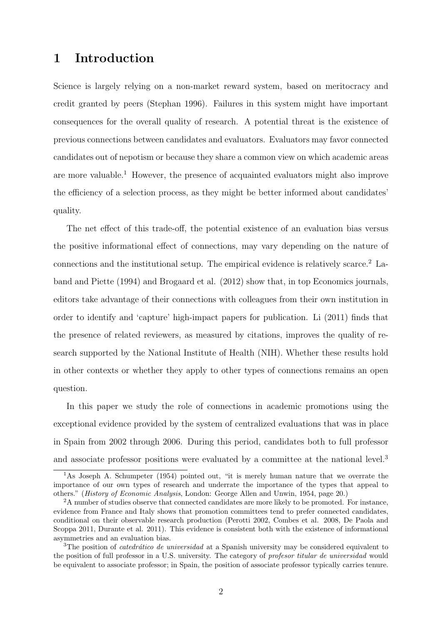## 1 Introduction

Science is largely relying on a non-market reward system, based on meritocracy and credit granted by peers (Stephan 1996). Failures in this system might have important consequences for the overall quality of research. A potential threat is the existence of previous connections between candidates and evaluators. Evaluators may favor connected candidates out of nepotism or because they share a common view on which academic areas are more valuable.<sup>1</sup> However, the presence of acquainted evaluators might also improve the efficiency of a selection process, as they might be better informed about candidates' quality.

The net effect of this trade-off, the potential existence of an evaluation bias versus the positive informational effect of connections, may vary depending on the nature of connections and the institutional setup. The empirical evidence is relatively scarce.<sup>2</sup> Laband and Piette (1994) and Brogaard et al. (2012) show that, in top Economics journals, editors take advantage of their connections with colleagues from their own institution in order to identify and 'capture' high-impact papers for publication. Li (2011) finds that the presence of related reviewers, as measured by citations, improves the quality of research supported by the National Institute of Health (NIH). Whether these results hold in other contexts or whether they apply to other types of connections remains an open question.

In this paper we study the role of connections in academic promotions using the exceptional evidence provided by the system of centralized evaluations that was in place in Spain from 2002 through 2006. During this period, candidates both to full professor and associate professor positions were evaluated by a committee at the national level.<sup>3</sup>

<sup>&</sup>lt;sup>1</sup>As Joseph A. Schumpeter (1954) pointed out, "it is merely human nature that we overrate the importance of our own types of research and underrate the importance of the types that appeal to others." (History of Economic Analysis, London: George Allen and Unwin, 1954, page 20.)

<sup>&</sup>lt;sup>2</sup>A number of studies observe that connected candidates are more likely to be promoted. For instance, evidence from France and Italy shows that promotion committees tend to prefer connected candidates, conditional on their observable research production (Perotti 2002, Combes et al. 2008, De Paola and Scoppa 2011, Durante et al. 2011). This evidence is consistent both with the existence of informational asymmetries and an evaluation bias.

<sup>&</sup>lt;sup>3</sup>The position of *catedrático de universidad* at a Spanish university may be considered equivalent to the position of full professor in a U.S. university. The category of profesor titular de universidad would be equivalent to associate professor; in Spain, the position of associate professor typically carries tenure.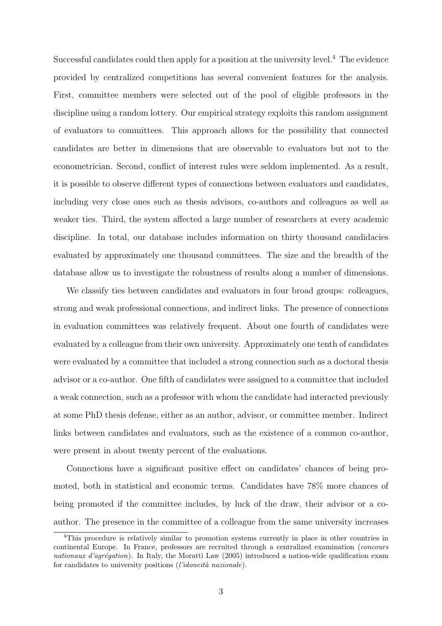Successful candidates could then apply for a position at the university level.<sup>4</sup> The evidence provided by centralized competitions has several convenient features for the analysis. First, committee members were selected out of the pool of eligible professors in the discipline using a random lottery. Our empirical strategy exploits this random assignment of evaluators to committees. This approach allows for the possibility that connected candidates are better in dimensions that are observable to evaluators but not to the econometrician. Second, conflict of interest rules were seldom implemented. As a result, it is possible to observe different types of connections between evaluators and candidates, including very close ones such as thesis advisors, co-authors and colleagues as well as weaker ties. Third, the system affected a large number of researchers at every academic discipline. In total, our database includes information on thirty thousand candidacies evaluated by approximately one thousand committees. The size and the breadth of the database allow us to investigate the robustness of results along a number of dimensions.

We classify ties between candidates and evaluators in four broad groups: colleagues, strong and weak professional connections, and indirect links. The presence of connections in evaluation committees was relatively frequent. About one fourth of candidates were evaluated by a colleague from their own university. Approximately one tenth of candidates were evaluated by a committee that included a strong connection such as a doctoral thesis advisor or a co-author. One fifth of candidates were assigned to a committee that included a weak connection, such as a professor with whom the candidate had interacted previously at some PhD thesis defense, either as an author, advisor, or committee member. Indirect links between candidates and evaluators, such as the existence of a common co-author, were present in about twenty percent of the evaluations.

Connections have a significant positive effect on candidates' chances of being promoted, both in statistical and economic terms. Candidates have 78% more chances of being promoted if the committee includes, by luck of the draw, their advisor or a coauthor. The presence in the committee of a colleague from the same university increases

<sup>&</sup>lt;sup>4</sup>This procedure is relatively similar to promotion systems currently in place in other countries in continental Europe. In France, professors are recruited through a centralized examination (concours nationaux d'agrégation). In Italy, the Moratti Law (2005) introduced a nation-wide qualification exam for candidates to university positions (l'idoneità nazionale).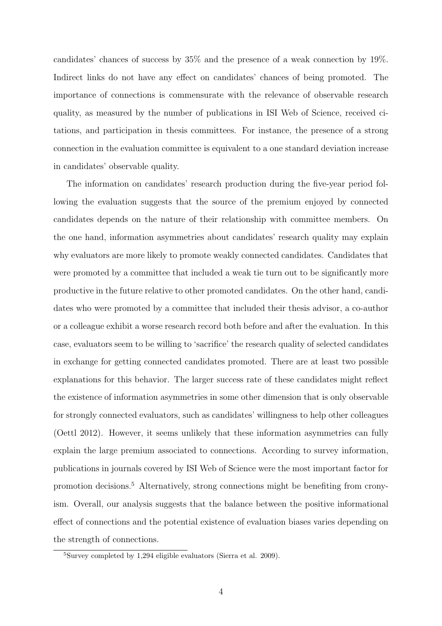candidates' chances of success by 35% and the presence of a weak connection by 19%. Indirect links do not have any effect on candidates' chances of being promoted. The importance of connections is commensurate with the relevance of observable research quality, as measured by the number of publications in ISI Web of Science, received citations, and participation in thesis committees. For instance, the presence of a strong connection in the evaluation committee is equivalent to a one standard deviation increase in candidates' observable quality.

The information on candidates' research production during the five-year period following the evaluation suggests that the source of the premium enjoyed by connected candidates depends on the nature of their relationship with committee members. On the one hand, information asymmetries about candidates' research quality may explain why evaluators are more likely to promote weakly connected candidates. Candidates that were promoted by a committee that included a weak tie turn out to be significantly more productive in the future relative to other promoted candidates. On the other hand, candidates who were promoted by a committee that included their thesis advisor, a co-author or a colleague exhibit a worse research record both before and after the evaluation. In this case, evaluators seem to be willing to 'sacrifice' the research quality of selected candidates in exchange for getting connected candidates promoted. There are at least two possible explanations for this behavior. The larger success rate of these candidates might reflect the existence of information asymmetries in some other dimension that is only observable for strongly connected evaluators, such as candidates' willingness to help other colleagues (Oettl 2012). However, it seems unlikely that these information asymmetries can fully explain the large premium associated to connections. According to survey information, publications in journals covered by ISI Web of Science were the most important factor for promotion decisions.<sup>5</sup> Alternatively, strong connections might be benefiting from cronyism. Overall, our analysis suggests that the balance between the positive informational effect of connections and the potential existence of evaluation biases varies depending on the strength of connections.

<sup>5</sup>Survey completed by 1,294 eligible evaluators (Sierra et al. 2009).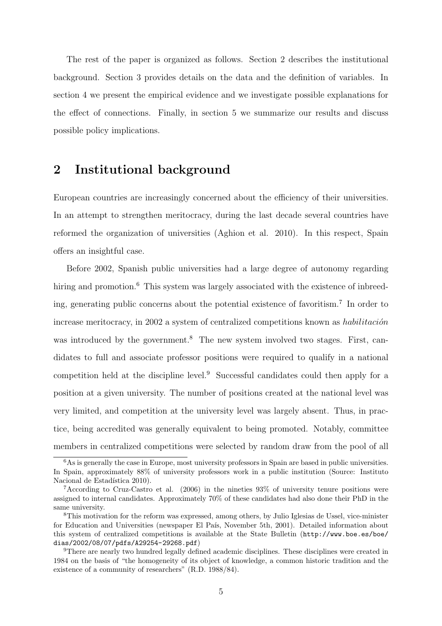The rest of the paper is organized as follows. Section 2 describes the institutional background. Section 3 provides details on the data and the definition of variables. In section 4 we present the empirical evidence and we investigate possible explanations for the effect of connections. Finally, in section 5 we summarize our results and discuss possible policy implications.

## 2 Institutional background

European countries are increasingly concerned about the efficiency of their universities. In an attempt to strengthen meritocracy, during the last decade several countries have reformed the organization of universities (Aghion et al. 2010). In this respect, Spain offers an insightful case.

Before 2002, Spanish public universities had a large degree of autonomy regarding hiring and promotion.<sup>6</sup> This system was largely associated with the existence of inbreeding, generating public concerns about the potential existence of favoritism.<sup>7</sup> In order to increase meritocracy, in 2002 a system of centralized competitions known as habilitación was introduced by the government.<sup>8</sup> The new system involved two stages. First, candidates to full and associate professor positions were required to qualify in a national competition held at the discipline level.<sup>9</sup> Successful candidates could then apply for a position at a given university. The number of positions created at the national level was very limited, and competition at the university level was largely absent. Thus, in practice, being accredited was generally equivalent to being promoted. Notably, committee members in centralized competitions were selected by random draw from the pool of all

 $6$ As is generally the case in Europe, most university professors in Spain are based in public universities. In Spain, approximately 88% of university professors work in a public institution (Source: Instituto Nacional de Estadística 2010).

<sup>7</sup>According to Cruz-Castro et al. (2006) in the nineties 93% of university tenure positions were assigned to internal candidates. Approximately 70% of these candidates had also done their PhD in the same university.

<sup>8</sup>This motivation for the reform was expressed, among others, by Julio Iglesias de Ussel, vice-minister for Education and Universities (newspaper El País, November 5th, 2001). Detailed information about this system of centralized competitions is available at the State Bulletin (http://www.boe.es/boe/ dias/2002/08/07/pdfs/A29254-29268.pdf)

<sup>&</sup>lt;sup>9</sup>There are nearly two hundred legally defined academic disciplines. These disciplines were created in 1984 on the basis of "the homogeneity of its object of knowledge, a common historic tradition and the existence of a community of researchers" (R.D. 1988/84).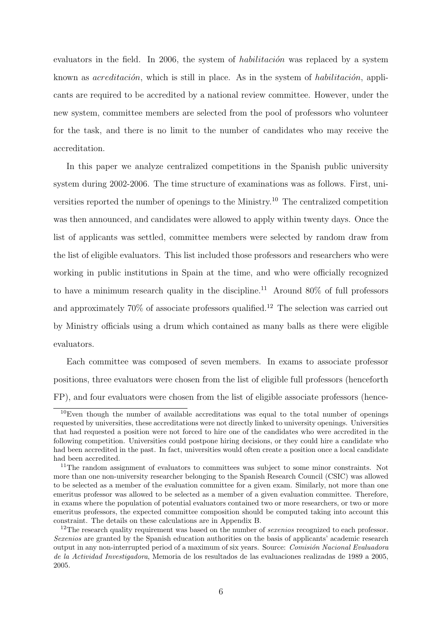evaluators in the field. In 2006, the system of *habilitación* was replaced by a system known as  $\alpha$ creditación, which is still in place. As in the system of habilitación, applicants are required to be accredited by a national review committee. However, under the new system, committee members are selected from the pool of professors who volunteer for the task, and there is no limit to the number of candidates who may receive the accreditation.

In this paper we analyze centralized competitions in the Spanish public university system during 2002-2006. The time structure of examinations was as follows. First, universities reported the number of openings to the Ministry.<sup>10</sup> The centralized competition was then announced, and candidates were allowed to apply within twenty days. Once the list of applicants was settled, committee members were selected by random draw from the list of eligible evaluators. This list included those professors and researchers who were working in public institutions in Spain at the time, and who were officially recognized to have a minimum research quality in the discipline.<sup>11</sup> Around  $80\%$  of full professors and approximately  $70\%$  of associate professors qualified.<sup>12</sup> The selection was carried out by Ministry officials using a drum which contained as many balls as there were eligible evaluators.

Each committee was composed of seven members. In exams to associate professor positions, three evaluators were chosen from the list of eligible full professors (henceforth FP), and four evaluators were chosen from the list of eligible associate professors (hence-

 $10$ Even though the number of available accreditations was equal to the total number of openings requested by universities, these accreditations were not directly linked to university openings. Universities that had requested a position were not forced to hire one of the candidates who were accredited in the following competition. Universities could postpone hiring decisions, or they could hire a candidate who had been accredited in the past. In fact, universities would often create a position once a local candidate had been accredited.

<sup>&</sup>lt;sup>11</sup>The random assignment of evaluators to committees was subject to some minor constraints. Not more than one non-university researcher belonging to the Spanish Research Council (CSIC) was allowed to be selected as a member of the evaluation committee for a given exam. Similarly, not more than one emeritus professor was allowed to be selected as a member of a given evaluation committee. Therefore, in exams where the population of potential evaluators contained two or more researchers, or two or more emeritus professors, the expected committee composition should be computed taking into account this constraint. The details on these calculations are in Appendix B.

<sup>&</sup>lt;sup>12</sup>The research quality requirement was based on the number of *sexenios* recognized to each professor. Sexenios are granted by the Spanish education authorities on the basis of applicants' academic research output in any non-interrupted period of a maximum of six years. Source: Comisión Nacional Evaluadora de la Actividad Investigadora, Memoria de los resultados de las evaluaciones realizadas de 1989 a 2005, 2005.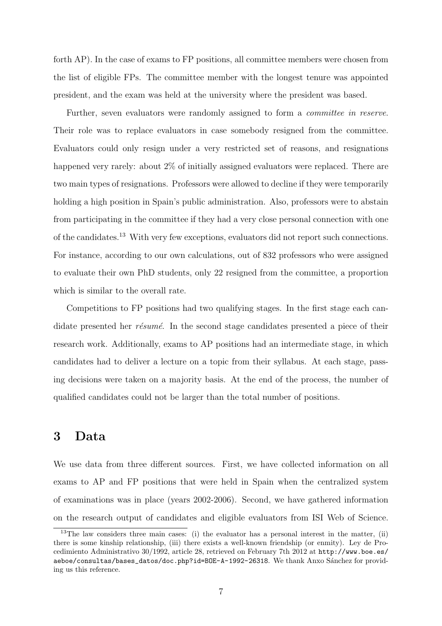forth AP). In the case of exams to FP positions, all committee members were chosen from the list of eligible FPs. The committee member with the longest tenure was appointed president, and the exam was held at the university where the president was based.

Further, seven evaluators were randomly assigned to form a *committee in reserve*. Their role was to replace evaluators in case somebody resigned from the committee. Evaluators could only resign under a very restricted set of reasons, and resignations happened very rarely: about 2% of initially assigned evaluators were replaced. There are two main types of resignations. Professors were allowed to decline if they were temporarily holding a high position in Spain's public administration. Also, professors were to abstain from participating in the committee if they had a very close personal connection with one of the candidates.<sup>13</sup> With very few exceptions, evaluators did not report such connections. For instance, according to our own calculations, out of 832 professors who were assigned to evaluate their own PhD students, only 22 resigned from the committee, a proportion which is similar to the overall rate.

Competitions to FP positions had two qualifying stages. In the first stage each candidate presented her résumé. In the second stage candidates presented a piece of their research work. Additionally, exams to AP positions had an intermediate stage, in which candidates had to deliver a lecture on a topic from their syllabus. At each stage, passing decisions were taken on a majority basis. At the end of the process, the number of qualified candidates could not be larger than the total number of positions.

## 3 Data

We use data from three different sources. First, we have collected information on all exams to AP and FP positions that were held in Spain when the centralized system of examinations was in place (years 2002-2006). Second, we have gathered information on the research output of candidates and eligible evaluators from ISI Web of Science.

<sup>&</sup>lt;sup>13</sup>The law considers three main cases: (i) the evaluator has a personal interest in the matter, (ii) there is some kinship relationship, (iii) there exists a well-known friendship (or enmity). Ley de Procedimiento Administrativo 30/1992, article 28, retrieved on February 7th 2012 at http://www.boe.es/ aeboe/consultas/bases\_datos/doc.php?id=BOE-A-1992-26318. We thank Anxo Sánchez for providing us this reference.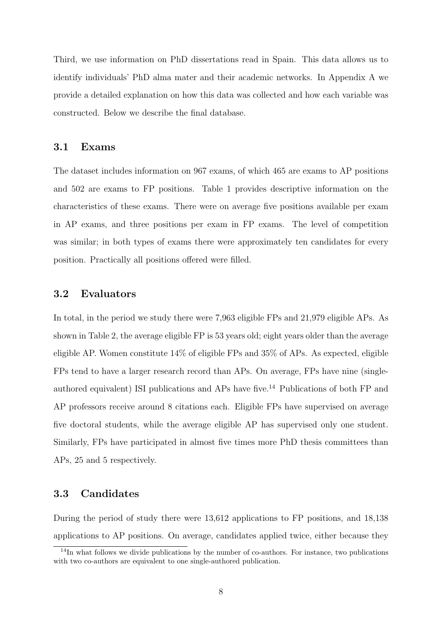Third, we use information on PhD dissertations read in Spain. This data allows us to identify individuals' PhD alma mater and their academic networks. In Appendix A we provide a detailed explanation on how this data was collected and how each variable was constructed. Below we describe the final database.

## 3.1 Exams

The dataset includes information on 967 exams, of which 465 are exams to AP positions and 502 are exams to FP positions. Table 1 provides descriptive information on the characteristics of these exams. There were on average five positions available per exam in AP exams, and three positions per exam in FP exams. The level of competition was similar; in both types of exams there were approximately ten candidates for every position. Practically all positions offered were filled.

## 3.2 Evaluators

In total, in the period we study there were 7,963 eligible FPs and 21,979 eligible APs. As shown in Table 2, the average eligible FP is 53 years old; eight years older than the average eligible AP. Women constitute 14% of eligible FPs and 35% of APs. As expected, eligible FPs tend to have a larger research record than APs. On average, FPs have nine (singleauthored equivalent) ISI publications and APs have five.<sup>14</sup> Publications of both FP and AP professors receive around 8 citations each. Eligible FPs have supervised on average five doctoral students, while the average eligible AP has supervised only one student. Similarly, FPs have participated in almost five times more PhD thesis committees than APs, 25 and 5 respectively.

## 3.3 Candidates

During the period of study there were 13,612 applications to FP positions, and 18,138 applications to AP positions. On average, candidates applied twice, either because they

<sup>&</sup>lt;sup>14</sup>In what follows we divide publications by the number of co-authors. For instance, two publications with two co-authors are equivalent to one single-authored publication.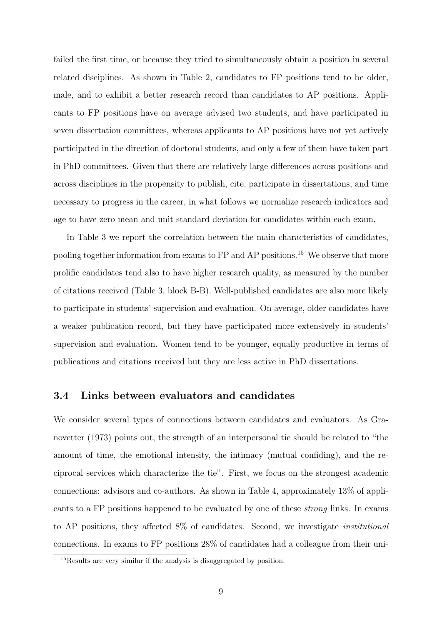failed the first time, or because they tried to simultaneously obtain a position in several related disciplines. As shown in Table 2, candidates to FP positions tend to be older, male, and to exhibit a better research record than candidates to AP positions. Applicants to FP positions have on average advised two students, and have participated in seven dissertation committees, whereas applicants to AP positions have not yet actively participated in the direction of doctoral students, and only a few of them have taken part in PhD committees. Given that there are relatively large differences across positions and across disciplines in the propensity to publish, cite, participate in dissertations, and time necessary to progress in the career, in what follows we normalize research indicators and age to have zero mean and unit standard deviation for candidates within each exam.

In Table 3 we report the correlation between the main characteristics of candidates, pooling together information from exams to FP and AP positions.<sup>15</sup> We observe that more prolific candidates tend also to have higher research quality, as measured by the number of citations received (Table 3, block B-B). Well-published candidates are also more likely to participate in students' supervision and evaluation. On average, older candidates have a weaker publication record, but they have participated more extensively in students' supervision and evaluation. Women tend to be younger, equally productive in terms of publications and citations received but they are less active in PhD dissertations.

### 3.4 Links between evaluators and candidates

We consider several types of connections between candidates and evaluators. As Granovetter (1973) points out, the strength of an interpersonal tie should be related to "the amount of time, the emotional intensity, the intimacy (mutual confiding), and the reciprocal services which characterize the tie". First, we focus on the strongest academic connections: advisors and co-authors. As shown in Table 4, approximately 13% of applicants to a FP positions happened to be evaluated by one of these strong links. In exams to AP positions, they affected 8% of candidates. Second, we investigate institutional connections. In exams to FP positions 28% of candidates had a colleague from their uni-

<sup>15</sup>Results are very similar if the analysis is disaggregated by position.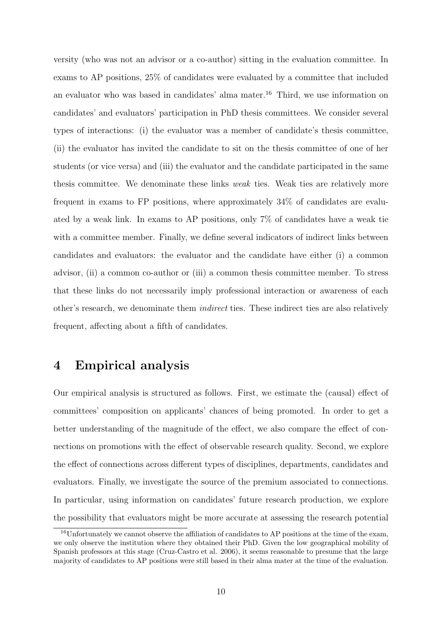versity (who was not an advisor or a co-author) sitting in the evaluation committee. In exams to AP positions, 25% of candidates were evaluated by a committee that included an evaluator who was based in candidates' alma mater.<sup>16</sup> Third, we use information on candidates' and evaluators' participation in PhD thesis committees. We consider several types of interactions: (i) the evaluator was a member of candidate's thesis committee, (ii) the evaluator has invited the candidate to sit on the thesis committee of one of her students (or vice versa) and (iii) the evaluator and the candidate participated in the same thesis committee. We denominate these links weak ties. Weak ties are relatively more frequent in exams to FP positions, where approximately 34% of candidates are evaluated by a weak link. In exams to AP positions, only 7% of candidates have a weak tie with a committee member. Finally, we define several indicators of indirect links between candidates and evaluators: the evaluator and the candidate have either (i) a common advisor, (ii) a common co-author or (iii) a common thesis committee member. To stress that these links do not necessarily imply professional interaction or awareness of each other's research, we denominate them indirect ties. These indirect ties are also relatively frequent, affecting about a fifth of candidates.

## 4 Empirical analysis

Our empirical analysis is structured as follows. First, we estimate the (causal) effect of committees' composition on applicants' chances of being promoted. In order to get a better understanding of the magnitude of the effect, we also compare the effect of connections on promotions with the effect of observable research quality. Second, we explore the effect of connections across different types of disciplines, departments, candidates and evaluators. Finally, we investigate the source of the premium associated to connections. In particular, using information on candidates' future research production, we explore the possibility that evaluators might be more accurate at assessing the research potential

<sup>&</sup>lt;sup>16</sup>Unfortunately we cannot observe the affiliation of candidates to AP positions at the time of the exam, we only observe the institution where they obtained their PhD. Given the low geographical mobility of Spanish professors at this stage (Cruz-Castro et al. 2006), it seems reasonable to presume that the large majority of candidates to AP positions were still based in their alma mater at the time of the evaluation.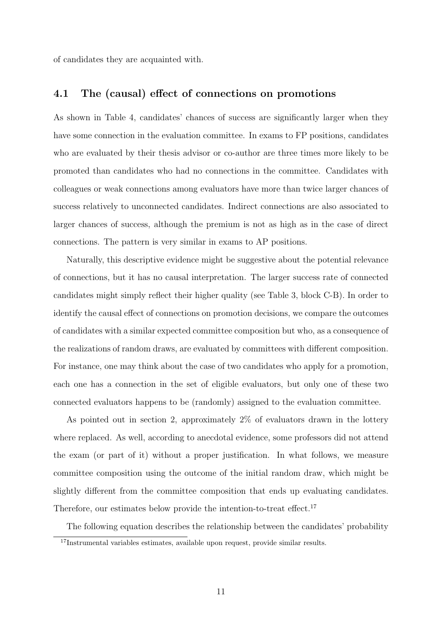of candidates they are acquainted with.

## 4.1 The (causal) effect of connections on promotions

As shown in Table 4, candidates' chances of success are significantly larger when they have some connection in the evaluation committee. In exams to FP positions, candidates who are evaluated by their thesis advisor or co-author are three times more likely to be promoted than candidates who had no connections in the committee. Candidates with colleagues or weak connections among evaluators have more than twice larger chances of success relatively to unconnected candidates. Indirect connections are also associated to larger chances of success, although the premium is not as high as in the case of direct connections. The pattern is very similar in exams to AP positions.

Naturally, this descriptive evidence might be suggestive about the potential relevance of connections, but it has no causal interpretation. The larger success rate of connected candidates might simply reflect their higher quality (see Table 3, block C-B). In order to identify the causal effect of connections on promotion decisions, we compare the outcomes of candidates with a similar expected committee composition but who, as a consequence of the realizations of random draws, are evaluated by committees with different composition. For instance, one may think about the case of two candidates who apply for a promotion, each one has a connection in the set of eligible evaluators, but only one of these two connected evaluators happens to be (randomly) assigned to the evaluation committee.

As pointed out in section 2, approximately 2% of evaluators drawn in the lottery where replaced. As well, according to anecdotal evidence, some professors did not attend the exam (or part of it) without a proper justification. In what follows, we measure committee composition using the outcome of the initial random draw, which might be slightly different from the committee composition that ends up evaluating candidates. Therefore, our estimates below provide the intention-to-treat effect.<sup>17</sup>

The following equation describes the relationship between the candidates' probability

<sup>17</sup>Instrumental variables estimates, available upon request, provide similar results.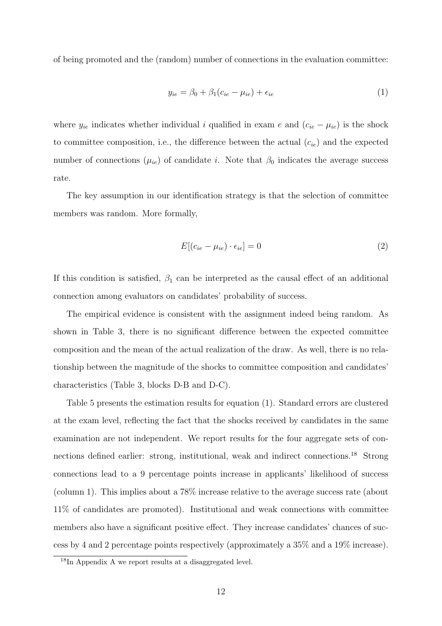of being promoted and the (random) number of connections in the evaluation committee:

$$
y_{ie} = \beta_0 + \beta_1 (c_{ie} - \mu_{ie}) + \epsilon_{ie}
$$
 (1)

where  $y_{ie}$  indicates whether individual i qualified in exam e and  $(c_{ie} - \mu_{ie})$  is the shock to committee composition, i.e., the difference between the actual  $(c_{ie})$  and the expected number of connections  $(\mu_{ie})$  of candidate *i*. Note that  $\beta_0$  indicates the average success rate.

The key assumption in our identification strategy is that the selection of committee members was random. More formally,

$$
E[(c_{ie} - \mu_{ie}) \cdot \epsilon_{ie}] = 0 \tag{2}
$$

If this condition is satisfied,  $\beta_1$  can be interpreted as the causal effect of an additional connection among evaluators on candidates' probability of success.

The empirical evidence is consistent with the assignment indeed being random. As shown in Table 3, there is no significant difference between the expected committee composition and the mean of the actual realization of the draw. As well, there is no relationship between the magnitude of the shocks to committee composition and candidates' characteristics (Table 3, blocks D-B and D-C).

Table 5 presents the estimation results for equation (1). Standard errors are clustered at the exam level, reflecting the fact that the shocks received by candidates in the same examination are not independent. We report results for the four aggregate sets of connections defined earlier: strong, institutional, weak and indirect connections.<sup>18</sup> Strong connections lead to a 9 percentage points increase in applicants' likelihood of success (column 1). This implies about a 78% increase relative to the average success rate (about 11% of candidates are promoted). Institutional and weak connections with committee members also have a significant positive effect. They increase candidates' chances of success by 4 and 2 percentage points respectively (approximately a 35% and a 19% increase).

<sup>18</sup>In Appendix A we report results at a disaggregated level.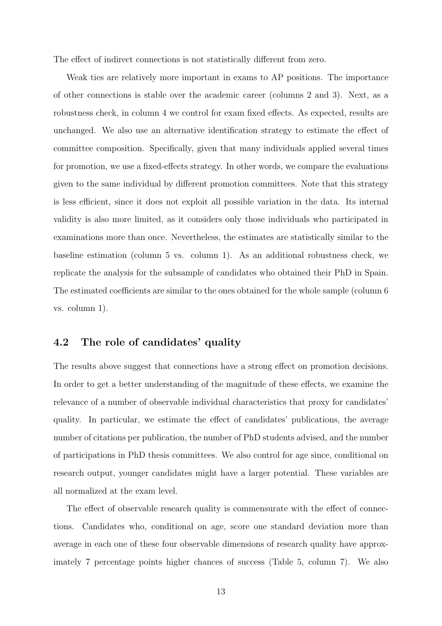The effect of indirect connections is not statistically different from zero.

Weak ties are relatively more important in exams to AP positions. The importance of other connections is stable over the academic career (columns 2 and 3). Next, as a robustness check, in column 4 we control for exam fixed effects. As expected, results are unchanged. We also use an alternative identification strategy to estimate the effect of committee composition. Specifically, given that many individuals applied several times for promotion, we use a fixed-effects strategy. In other words, we compare the evaluations given to the same individual by different promotion committees. Note that this strategy is less efficient, since it does not exploit all possible variation in the data. Its internal validity is also more limited, as it considers only those individuals who participated in examinations more than once. Nevertheless, the estimates are statistically similar to the baseline estimation (column 5 vs. column 1). As an additional robustness check, we replicate the analysis for the subsample of candidates who obtained their PhD in Spain. The estimated coefficients are similar to the ones obtained for the whole sample (column 6 vs. column 1).

## 4.2 The role of candidates' quality

The results above suggest that connections have a strong effect on promotion decisions. In order to get a better understanding of the magnitude of these effects, we examine the relevance of a number of observable individual characteristics that proxy for candidates' quality. In particular, we estimate the effect of candidates' publications, the average number of citations per publication, the number of PhD students advised, and the number of participations in PhD thesis committees. We also control for age since, conditional on research output, younger candidates might have a larger potential. These variables are all normalized at the exam level.

The effect of observable research quality is commensurate with the effect of connections. Candidates who, conditional on age, score one standard deviation more than average in each one of these four observable dimensions of research quality have approximately 7 percentage points higher chances of success (Table 5, column 7). We also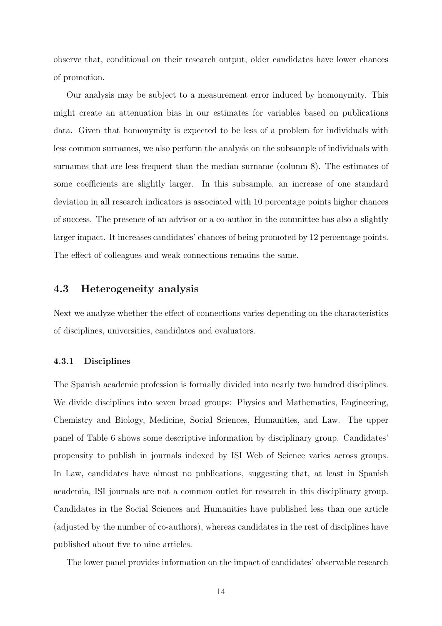observe that, conditional on their research output, older candidates have lower chances of promotion.

Our analysis may be subject to a measurement error induced by homonymity. This might create an attenuation bias in our estimates for variables based on publications data. Given that homonymity is expected to be less of a problem for individuals with less common surnames, we also perform the analysis on the subsample of individuals with surnames that are less frequent than the median surname (column 8). The estimates of some coefficients are slightly larger. In this subsample, an increase of one standard deviation in all research indicators is associated with 10 percentage points higher chances of success. The presence of an advisor or a co-author in the committee has also a slightly larger impact. It increases candidates' chances of being promoted by 12 percentage points. The effect of colleagues and weak connections remains the same.

## 4.3 Heterogeneity analysis

Next we analyze whether the effect of connections varies depending on the characteristics of disciplines, universities, candidates and evaluators.

## 4.3.1 Disciplines

The Spanish academic profession is formally divided into nearly two hundred disciplines. We divide disciplines into seven broad groups: Physics and Mathematics, Engineering, Chemistry and Biology, Medicine, Social Sciences, Humanities, and Law. The upper panel of Table 6 shows some descriptive information by disciplinary group. Candidates' propensity to publish in journals indexed by ISI Web of Science varies across groups. In Law, candidates have almost no publications, suggesting that, at least in Spanish academia, ISI journals are not a common outlet for research in this disciplinary group. Candidates in the Social Sciences and Humanities have published less than one article (adjusted by the number of co-authors), whereas candidates in the rest of disciplines have published about five to nine articles.

The lower panel provides information on the impact of candidates' observable research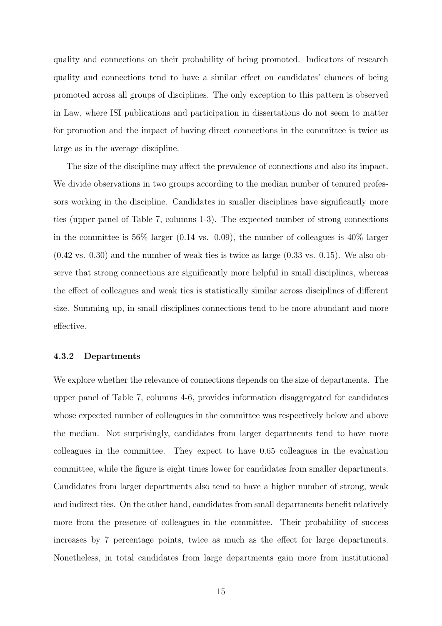quality and connections on their probability of being promoted. Indicators of research quality and connections tend to have a similar effect on candidates' chances of being promoted across all groups of disciplines. The only exception to this pattern is observed in Law, where ISI publications and participation in dissertations do not seem to matter for promotion and the impact of having direct connections in the committee is twice as large as in the average discipline.

The size of the discipline may affect the prevalence of connections and also its impact. We divide observations in two groups according to the median number of tenured professors working in the discipline. Candidates in smaller disciplines have significantly more ties (upper panel of Table 7, columns 1-3). The expected number of strong connections in the committee is  $56\%$  larger (0.14 vs. 0.09), the number of colleagues is  $40\%$  larger  $(0.42 \text{ vs. } 0.30)$  and the number of weak ties is twice as large  $(0.33 \text{ vs. } 0.15)$ . We also observe that strong connections are significantly more helpful in small disciplines, whereas the effect of colleagues and weak ties is statistically similar across disciplines of different size. Summing up, in small disciplines connections tend to be more abundant and more effective.

#### 4.3.2 Departments

We explore whether the relevance of connections depends on the size of departments. The upper panel of Table 7, columns 4-6, provides information disaggregated for candidates whose expected number of colleagues in the committee was respectively below and above the median. Not surprisingly, candidates from larger departments tend to have more colleagues in the committee. They expect to have 0.65 colleagues in the evaluation committee, while the figure is eight times lower for candidates from smaller departments. Candidates from larger departments also tend to have a higher number of strong, weak and indirect ties. On the other hand, candidates from small departments benefit relatively more from the presence of colleagues in the committee. Their probability of success increases by 7 percentage points, twice as much as the effect for large departments. Nonetheless, in total candidates from large departments gain more from institutional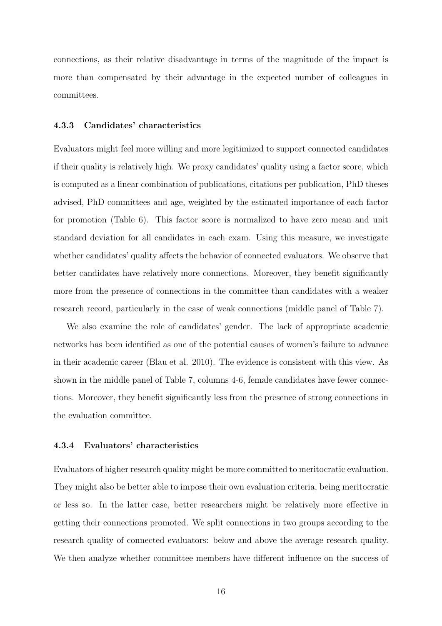connections, as their relative disadvantage in terms of the magnitude of the impact is more than compensated by their advantage in the expected number of colleagues in committees.

#### 4.3.3 Candidates' characteristics

Evaluators might feel more willing and more legitimized to support connected candidates if their quality is relatively high. We proxy candidates' quality using a factor score, which is computed as a linear combination of publications, citations per publication, PhD theses advised, PhD committees and age, weighted by the estimated importance of each factor for promotion (Table 6). This factor score is normalized to have zero mean and unit standard deviation for all candidates in each exam. Using this measure, we investigate whether candidates' quality affects the behavior of connected evaluators. We observe that better candidates have relatively more connections. Moreover, they benefit significantly more from the presence of connections in the committee than candidates with a weaker research record, particularly in the case of weak connections (middle panel of Table 7).

We also examine the role of candidates' gender. The lack of appropriate academic networks has been identified as one of the potential causes of women's failure to advance in their academic career (Blau et al. 2010). The evidence is consistent with this view. As shown in the middle panel of Table 7, columns 4-6, female candidates have fewer connections. Moreover, they benefit significantly less from the presence of strong connections in the evaluation committee.

#### 4.3.4 Evaluators' characteristics

Evaluators of higher research quality might be more committed to meritocratic evaluation. They might also be better able to impose their own evaluation criteria, being meritocratic or less so. In the latter case, better researchers might be relatively more effective in getting their connections promoted. We split connections in two groups according to the research quality of connected evaluators: below and above the average research quality. We then analyze whether committee members have different influence on the success of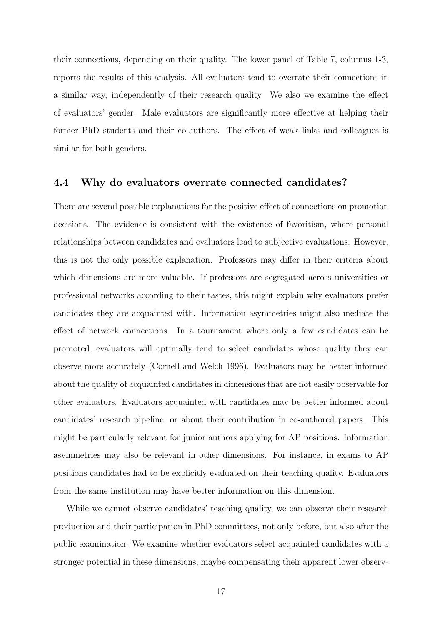their connections, depending on their quality. The lower panel of Table 7, columns 1-3, reports the results of this analysis. All evaluators tend to overrate their connections in a similar way, independently of their research quality. We also we examine the effect of evaluators' gender. Male evaluators are significantly more effective at helping their former PhD students and their co-authors. The effect of weak links and colleagues is similar for both genders.

### 4.4 Why do evaluators overrate connected candidates?

There are several possible explanations for the positive effect of connections on promotion decisions. The evidence is consistent with the existence of favoritism, where personal relationships between candidates and evaluators lead to subjective evaluations. However, this is not the only possible explanation. Professors may differ in their criteria about which dimensions are more valuable. If professors are segregated across universities or professional networks according to their tastes, this might explain why evaluators prefer candidates they are acquainted with. Information asymmetries might also mediate the effect of network connections. In a tournament where only a few candidates can be promoted, evaluators will optimally tend to select candidates whose quality they can observe more accurately (Cornell and Welch 1996). Evaluators may be better informed about the quality of acquainted candidates in dimensions that are not easily observable for other evaluators. Evaluators acquainted with candidates may be better informed about candidates' research pipeline, or about their contribution in co-authored papers. This might be particularly relevant for junior authors applying for AP positions. Information asymmetries may also be relevant in other dimensions. For instance, in exams to AP positions candidates had to be explicitly evaluated on their teaching quality. Evaluators from the same institution may have better information on this dimension.

While we cannot observe candidates' teaching quality, we can observe their research production and their participation in PhD committees, not only before, but also after the public examination. We examine whether evaluators select acquainted candidates with a stronger potential in these dimensions, maybe compensating their apparent lower observ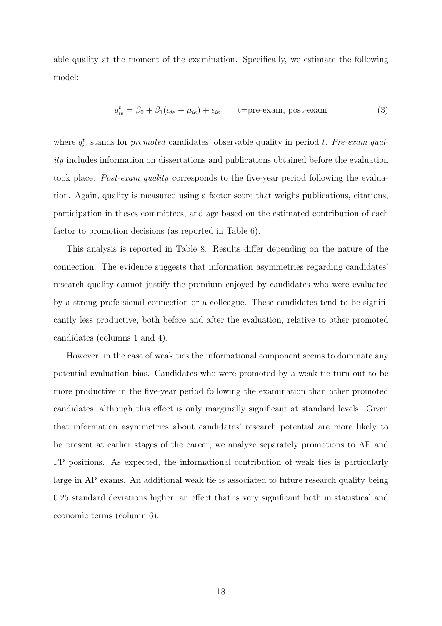able quality at the moment of the examination. Specifically, we estimate the following model:

$$
q_{ie}^t = \beta_0 + \beta_1 (c_{ie} - \mu_{ie}) + \epsilon_{ie} \qquad \text{t=pre-exam, post-exam} \tag{3}
$$

where  $q_{ie}^t$  stands for *promoted* candidates' observable quality in period t. Pre-exam quality includes information on dissertations and publications obtained before the evaluation took place. Post-exam quality corresponds to the five-year period following the evaluation. Again, quality is measured using a factor score that weighs publications, citations, participation in theses committees, and age based on the estimated contribution of each factor to promotion decisions (as reported in Table 6).

This analysis is reported in Table 8. Results differ depending on the nature of the connection. The evidence suggests that information asymmetries regarding candidates' research quality cannot justify the premium enjoyed by candidates who were evaluated by a strong professional connection or a colleague. These candidates tend to be significantly less productive, both before and after the evaluation, relative to other promoted candidates (columns 1 and 4).

However, in the case of weak ties the informational component seems to dominate any potential evaluation bias. Candidates who were promoted by a weak tie turn out to be more productive in the five-year period following the examination than other promoted candidates, although this effect is only marginally significant at standard levels. Given that information asymmetries about candidates' research potential are more likely to be present at earlier stages of the career, we analyze separately promotions to AP and FP positions. As expected, the informational contribution of weak ties is particularly large in AP exams. An additional weak tie is associated to future research quality being 0.25 standard deviations higher, an effect that is very significant both in statistical and economic terms (column 6).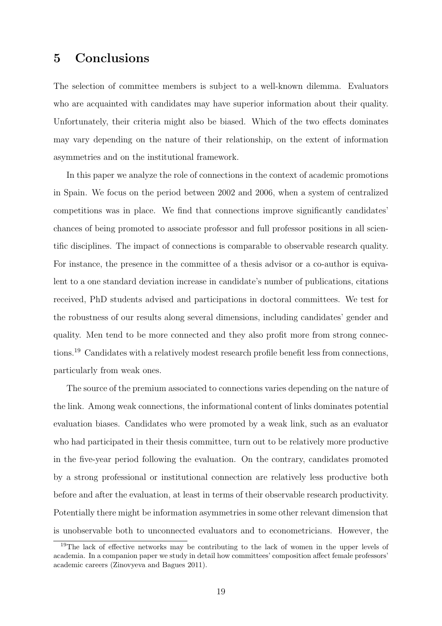# 5 Conclusions

The selection of committee members is subject to a well-known dilemma. Evaluators who are acquainted with candidates may have superior information about their quality. Unfortunately, their criteria might also be biased. Which of the two effects dominates may vary depending on the nature of their relationship, on the extent of information asymmetries and on the institutional framework.

In this paper we analyze the role of connections in the context of academic promotions in Spain. We focus on the period between 2002 and 2006, when a system of centralized competitions was in place. We find that connections improve significantly candidates' chances of being promoted to associate professor and full professor positions in all scientific disciplines. The impact of connections is comparable to observable research quality. For instance, the presence in the committee of a thesis advisor or a co-author is equivalent to a one standard deviation increase in candidate's number of publications, citations received, PhD students advised and participations in doctoral committees. We test for the robustness of our results along several dimensions, including candidates' gender and quality. Men tend to be more connected and they also profit more from strong connections.<sup>19</sup> Candidates with a relatively modest research profile benefit less from connections, particularly from weak ones.

The source of the premium associated to connections varies depending on the nature of the link. Among weak connections, the informational content of links dominates potential evaluation biases. Candidates who were promoted by a weak link, such as an evaluator who had participated in their thesis committee, turn out to be relatively more productive in the five-year period following the evaluation. On the contrary, candidates promoted by a strong professional or institutional connection are relatively less productive both before and after the evaluation, at least in terms of their observable research productivity. Potentially there might be information asymmetries in some other relevant dimension that is unobservable both to unconnected evaluators and to econometricians. However, the

<sup>&</sup>lt;sup>19</sup>The lack of effective networks may be contributing to the lack of women in the upper levels of academia. In a companion paper we study in detail how committees' composition affect female professors' academic careers (Zinovyeva and Bagues 2011).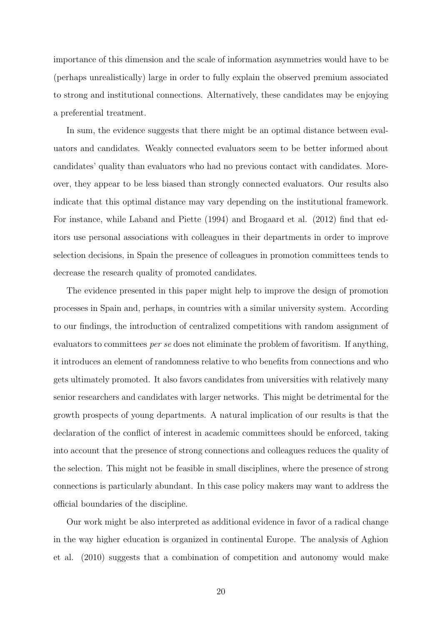importance of this dimension and the scale of information asymmetries would have to be (perhaps unrealistically) large in order to fully explain the observed premium associated to strong and institutional connections. Alternatively, these candidates may be enjoying a preferential treatment.

In sum, the evidence suggests that there might be an optimal distance between evaluators and candidates. Weakly connected evaluators seem to be better informed about candidates' quality than evaluators who had no previous contact with candidates. Moreover, they appear to be less biased than strongly connected evaluators. Our results also indicate that this optimal distance may vary depending on the institutional framework. For instance, while Laband and Piette (1994) and Brogaard et al. (2012) find that editors use personal associations with colleagues in their departments in order to improve selection decisions, in Spain the presence of colleagues in promotion committees tends to decrease the research quality of promoted candidates.

The evidence presented in this paper might help to improve the design of promotion processes in Spain and, perhaps, in countries with a similar university system. According to our findings, the introduction of centralized competitions with random assignment of evaluators to committees per se does not eliminate the problem of favoritism. If anything, it introduces an element of randomness relative to who benefits from connections and who gets ultimately promoted. It also favors candidates from universities with relatively many senior researchers and candidates with larger networks. This might be detrimental for the growth prospects of young departments. A natural implication of our results is that the declaration of the conflict of interest in academic committees should be enforced, taking into account that the presence of strong connections and colleagues reduces the quality of the selection. This might not be feasible in small disciplines, where the presence of strong connections is particularly abundant. In this case policy makers may want to address the official boundaries of the discipline.

Our work might be also interpreted as additional evidence in favor of a radical change in the way higher education is organized in continental Europe. The analysis of Aghion et al. (2010) suggests that a combination of competition and autonomy would make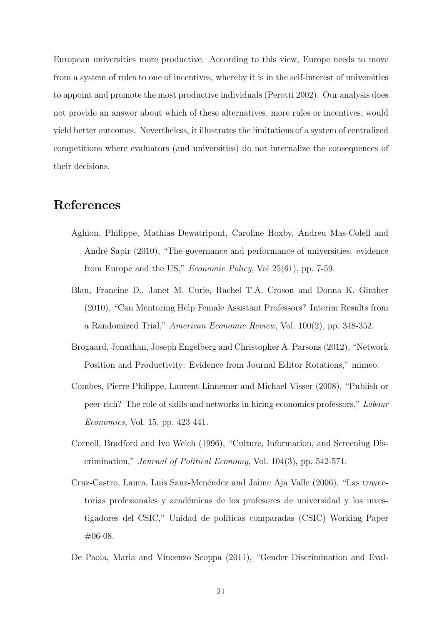European universities more productive. According to this view, Europe needs to move from a system of rules to one of incentives, whereby it is in the self-interest of universities to appoint and promote the most productive individuals (Perotti 2002). Our analysis does not provide an answer about which of these alternatives, more rules or incentives, would yield better outcomes. Nevertheless, it illustrates the limitations of a system of centralized competitions where evaluators (and universities) do not internalize the consequences of their decisions.

# References

- Aghion, Philippe, Mathias Dewatripont, Caroline Hoxby, Andreu Mas-Colell and André Sapir (2010), "The governance and performance of universities: evidence from Europe and the US," Economic Policy, Vol 25(61), pp. 7-59.
- Blau, Francine D., Janet M. Curie, Rachel T.A. Croson and Donna K. Ginther (2010), "Can Mentoring Help Female Assistant Professors? Interim Results from a Randomized Trial," American Economic Review, Vol. 100(2), pp. 348-352.
- Brogaard, Jonathan, Joseph Engelberg and Christopher A. Parsons (2012), "Network Position and Productivity: Evidence from Journal Editor Rotations," mimeo.
- Combes, Pierre-Philippe, Laurent Linnemer and Michael Visser (2008), "Publish or peer-rich? The role of skills and networks in hiring economics professors," Labour Economics, Vol. 15, pp. 423-441.
- Cornell, Bradford and Ivo Welch (1996), "Culture, Information, and Screening Discrimination," Journal of Political Economy, Vol. 104(3), pp. 542-571.
- Cruz-Castro, Laura, Luis Sanz-Menéndez and Jaime Aja Valle (2006), "Las trayectorias profesionales y académicas de los profesores de universidad y los investigadores del CSIC," Unidad de políticas comparadas (CSIC) Working Paper #06-08.
- De Paola, Maria and Vincenzo Scoppa (2011), "Gender Discrimination and Eval-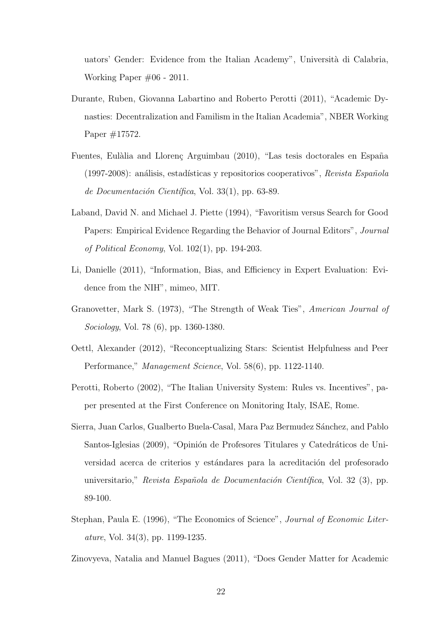uators' Gender: Evidence from the Italian Academy", Universit`a di Calabria, Working Paper #06 - 2011.

- Durante, Ruben, Giovanna Labartino and Roberto Perotti (2011), "Academic Dynasties: Decentralization and Familism in the Italian Academia", NBER Working Paper #17572.
- Fuentes, Eulàlia and Llorenç Arguimbau (2010), "Las tesis doctorales en España  $(1997-2008)$ : análisis, estadísticas y repositorios cooperativos", Revista Española de Documentación Científica, Vol. 33(1), pp. 63-89.
- Laband, David N. and Michael J. Piette (1994), "Favoritism versus Search for Good Papers: Empirical Evidence Regarding the Behavior of Journal Editors", Journal of Political Economy, Vol. 102(1), pp. 194-203.
- Li, Danielle (2011), "Information, Bias, and Efficiency in Expert Evaluation: Evidence from the NIH", mimeo, MIT.
- Granovetter, Mark S. (1973), "The Strength of Weak Ties", American Journal of Sociology, Vol. 78 (6), pp. 1360-1380.
- Oettl, Alexander (2012), "Reconceptualizing Stars: Scientist Helpfulness and Peer Performance," Management Science, Vol. 58(6), pp. 1122-1140.
- Perotti, Roberto (2002), "The Italian University System: Rules vs. Incentives", paper presented at the First Conference on Monitoring Italy, ISAE, Rome.
- Sierra, Juan Carlos, Gualberto Buela-Casal, Mara Paz Bermudez Sánchez, and Pablo Santos-Iglesias (2009), "Opinión de Profesores Titulares y Catedráticos de Universidad acerca de criterios y estándares para la acreditación del profesorado universitario," Revista Española de Documentación Científica, Vol. 32 (3), pp. 89-100.
- Stephan, Paula E. (1996), "The Economics of Science", Journal of Economic Literature, Vol. 34(3), pp. 1199-1235.

Zinovyeva, Natalia and Manuel Bagues (2011), "Does Gender Matter for Academic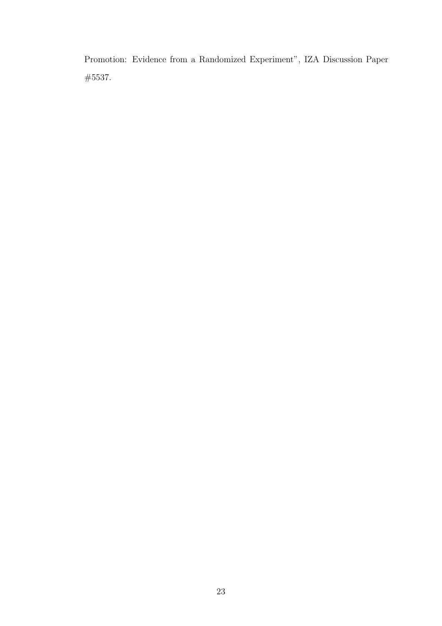Promotion: Evidence from a Randomized Experiment", IZA Discussion Paper #5537.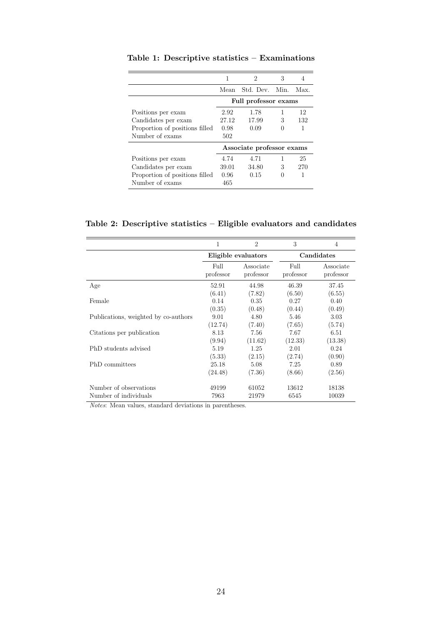|                                |       | 2                         | 3 | 4   |
|--------------------------------|-------|---------------------------|---|-----|
|                                |       | Mean Std. Dev. Min. Max.  |   |     |
|                                |       | Full professor exams      |   |     |
| Positions per exam             | 2.92  | 1.78                      | 1 | 12  |
| Candidates per exam            | 27.12 | 17.99                     | 3 | 132 |
| Proportion of positions filled | 0.98  | 0.09                      |   | 1   |
| Number of exams                | 502   |                           |   |     |
|                                |       | Associate professor exams |   |     |
| Positions per exam             | 4.74  | 4.71                      |   | 25  |
| Candidates per exam            | 39.01 | 34.80                     | 3 | 270 |
| Proportion of positions filled | 0.96  | 0.15                      |   | 1   |
| Number of exams                | 465   |                           |   |     |
|                                |       |                           |   |     |

Table 1: Descriptive statistics – Examinations

Table 2: Descriptive statistics – Eligible evaluators and candidates

|                                      | 1                 | $\overline{2}$         | 3                 | $\overline{4}$         |
|--------------------------------------|-------------------|------------------------|-------------------|------------------------|
|                                      |                   | Eligible evaluators    |                   | Candidates             |
|                                      | Full<br>professor | Associate<br>professor | Full<br>professor | Associate<br>professor |
| Age                                  | 52.91             | 44.98                  | 46.39             | 37.45                  |
|                                      | (6.41)            | (7.82)                 | (6.50)            | (6.55)                 |
| Female                               | 0.14              | 0.35                   | 0.27              | 0.40                   |
|                                      | (0.35)            | (0.48)                 | (0.44)            | (0.49)                 |
| Publications, weighted by co-authors | 9.01              | 4.80                   | 5.46              | 3.03                   |
|                                      | (12.74)           | (7.40)                 | (7.65)            | (5.74)                 |
| Citations per publication            | 8.13              | 7.56                   | 7.67              | 6.51                   |
|                                      | (9.94)            | (11.62)                | (12.33)           | (13.38)                |
| PhD students advised                 | 5.19              | 1.25                   | 2.01              | 0.24                   |
|                                      | (5.33)            | (2.15)                 | (2.74)            | (0.90)                 |
| PhD committees                       | 25.18             | 5.08                   | 7.25              | 0.89                   |
|                                      | (24.48)           | (7.36)                 | (8.66)            | (2.56)                 |
| Number of observations               | 49199             | 61052                  | 13612             | 18138                  |
| Number of individuals                | 7963              | 21979                  | 6545              | 10039                  |

Notes: Mean values, standard deviations in parentheses.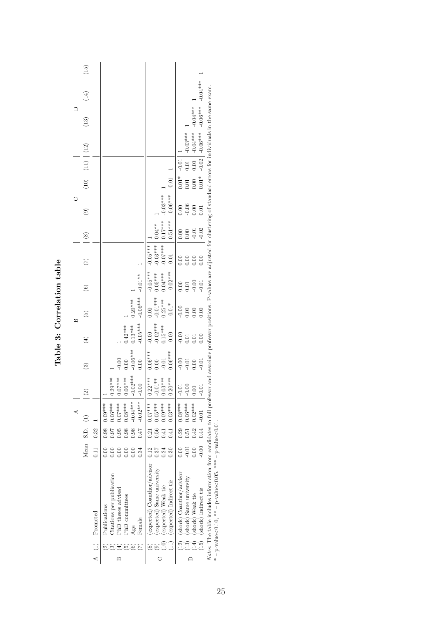|   |                                                                     |                                                                                                                                                                                                                                                                 |                                        |                                                | ⋖                                                                             |                                                               |                                           | $\mathbf{\underline{\square}}$                |                                             |                                                    |                                                     |                                          | Ò                                |                                    |                                    |                          | ≏                             |            |      |
|---|---------------------------------------------------------------------|-----------------------------------------------------------------------------------------------------------------------------------------------------------------------------------------------------------------------------------------------------------------|----------------------------------------|------------------------------------------------|-------------------------------------------------------------------------------|---------------------------------------------------------------|-------------------------------------------|-----------------------------------------------|---------------------------------------------|----------------------------------------------------|-----------------------------------------------------|------------------------------------------|----------------------------------|------------------------------------|------------------------------------|--------------------------|-------------------------------|------------|------|
|   |                                                                     |                                                                                                                                                                                                                                                                 |                                        | Mean S.D. [(1)                                 |                                                                               | $\odot$                                                       | ව                                         | $\widehat{\mathbf{t}}$                        | ල                                           | ම                                                  | E                                                   | $\circledast$                            | ම                                |                                    | $(10)$ $(11)$ $(12)$               |                          | $\left( \frac{13}{2} \right)$ | (14)       | (15) |
|   | $\frac{1}{2}$                                                       | Promoted                                                                                                                                                                                                                                                        | 0.11                                   | $0.32$   1                                     |                                                                               |                                                               |                                           |                                               |                                             |                                                    |                                                     |                                          |                                  |                                    |                                    |                          |                               |            |      |
|   | $\widetilde{\Xi}$                                                   | Citations per publication<br>PhD theses advised<br>PhD committees<br>Publications<br>Female<br>Age                                                                                                                                                              | 0.34<br>0.00                           | 0.98<br>  16.0<br>0.95<br>0.98<br>0.98<br>0.47 | $-0.04***$<br>$-0.02***$<br>$0.08***$<br>$0.06***$<br>$10.09***$<br>$0.07***$ | $-0.02***$<br>$0.29***$<br>$-0.07***$<br>$0.06***$<br>$-0.00$ | $-0.06***$<br>$-0.00$<br>0.00<br>0.00     | $-0.05***$<br>$0.13***$<br>$0.42***$          | $-0.06***$<br>$0.20***$                     | $-0.01**$                                          |                                                     |                                          |                                  |                                    |                                    |                          |                               |            |      |
| Ò | $\left(\begin{matrix}11\1\end{matrix}\right)$<br>ම<br>$\circledast$ | (expected) Coauthor/advisor<br>(expected) Same university<br>(expected) Indirect tie<br>(expected) Weak tie                                                                                                                                                     | 0.30<br>$-12$<br>0.37<br>0.24          | 0.56<br>0.41<br>0.41                           | $0.05***$<br>$0.21$   $0.07***$<br>$0.09***$<br>$0.03***$                     | $0.22***$<br>$0.03***$<br>$0.20***$<br>$-0.01**$              | $0.06***$<br>$0.06***$<br>$-0.01$<br>0.00 | $-0.02***$<br>$0.15***$<br>$-0.00$<br>$-0.00$ | $-0.01***$<br>$0.25***$<br>$-0.01*$<br>0.00 | $-0.05***$<br>$-0.02***$<br>$0.04***$<br>$0.05***$ | $-0.03***$<br>$-0.07$ ***1<br>$-0.05***$<br>$-0.01$ | $0.17***$<br>$0.51***$<br>$0.04**$       | $-0.03***$<br>$-0.06***$         | $-0.01$                            |                                    |                          |                               |            |      |
|   | $(13)$<br>(15)<br>$(12)$<br>(14)                                    | (shock) Coauthor/advisor<br>(shock) Same university<br>(shock) Indirect tie<br>(shock) Weak tie                                                                                                                                                                 | $-0.00$<br>$-0.01$<br>$_{0.00}$<br>00( | 0.42<br>0.44                                   | $0.51$ 0.06***<br>$0.29$   $0.08***$<br>$0.02***$<br>$-0.01$                  | $-0.00$<br>$-0.01$<br>$-0.01$<br>0.00                         | $-0.00$<br>$-0.01$<br>$-0.01$<br>0.00     | $-0.00$<br>0.01<br>0.00<br>0.01               | $-0.00$<br>0.00<br>0.00<br>0.00             | $-0.00$<br>$-0.01$<br>$\frac{8}{10}$<br>0.01       | 0.00<br>0.00<br>0.00<br>0.00                        | $-0.02$<br>$\frac{1}{2}$<br>0.00<br>0.00 | $-0.06$<br>0.00<br>0.00<br>$\Xi$ | $0.01*$<br>$0.01*$<br>0.00<br>0.01 | $-0.02$<br>$-0.01$<br>0.00<br>0.01 | $-0.03***$<br>$-0.06***$ | $-0.04***0.0$<br>$-0.06***$   | $-0.04***$ |      |
|   |                                                                     | Notes: The table includes information from candidates to full professor and associate professor positions. P-values are adjusted for clustering of standard errors for individuals in the same exam<br>* - p-value<0.10, ** - p-value<0.05, *** - p-value<0.01. |                                        |                                                |                                                                               |                                                               |                                           |                                               |                                             |                                                    |                                                     |                                          |                                  |                                    |                                    |                          |                               |            |      |

| 7<br>tab                             |  |
|--------------------------------------|--|
| lation<br>$_{\rm{rrelat}}$<br>י<br>ק |  |
|                                      |  |
| <b>Fabl</b>                          |  |

 $* -$  p-value<0.10,  $** -$  p-value<0.05,  $*** -$  p-value<0.01.

25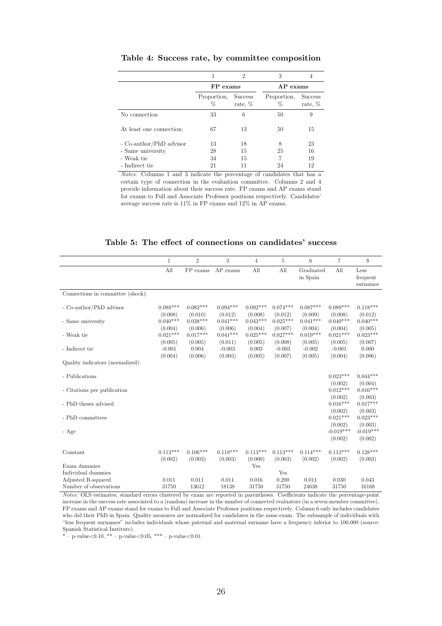|                          |                  | 2                         | 3                |                           |
|--------------------------|------------------|---------------------------|------------------|---------------------------|
|                          | FP exams         |                           | $AP$ exams       |                           |
|                          | Proportion.<br>% | <b>Success</b><br>rate, % | Proportion,<br>% | <b>Success</b><br>rate, % |
| No connection            | 33               | 6                         | 50               | 9                         |
| At least one connection: | 67               | 13                        | 50               | 15                        |
| - Co-author/PhD advisor  | 13               | 18                        | 8                | 23                        |
| - Same university        | 28               | 15                        | 25               | 16                        |
| - Weak tie               | 34               | 15                        | 7                | 19                        |
| - Indirect tie           | 21               |                           | 24               | 12                        |

Table 4: Success rate, by committee composition

Notes: Columns 1 and 3 indicate the percentage of candidates that has a certain type of connection in the evaluation committee. Columns 2 and 4 provide information about their success rate. FP exams and AP exams stand for exams to Full and Associate Professor positions respectively. Candidates' average success rate is 11% in FP exams and 12% in AP exams.

#### Table 5: The effect of connections on candidates' success

|                                    | $\mathbf{1}$          | $\overline{2}$        | 3                     | $\overline{4}$        | 5                     | 6                     | $\overline{7}$         | 8                            |
|------------------------------------|-----------------------|-----------------------|-----------------------|-----------------------|-----------------------|-----------------------|------------------------|------------------------------|
|                                    | All                   | FP exams              | $AP$ exams            | All                   | All                   | Graduated<br>in Spain | All                    | Less<br>frequent<br>surnames |
| Connections in committee (shock):  |                       |                       |                       |                       |                       |                       |                        |                              |
| - Co-author/PhD advisor            | $0.088***$<br>(0.008) | $0.082***$<br>(0.010) | $0.094***$<br>(0.012) | $0.092***$<br>(0.008) | $0.074***$<br>(0.012) | $0.087***$<br>(0.009) | $0.089***$<br>(0.008)  | $0.118***$<br>(0.012)        |
| - Same university                  | $0.040***$<br>(0.004) | $0.038***$<br>(0.006) | $0.041***$<br>(0.006) | $0.043***$<br>(0.004) | $0.025***$<br>(0.007) | $0.041***$<br>(0.004) | $0.040***$<br>(0.004)  | $0.040***$<br>(0.005)        |
| - Weak tie                         | $0.021***$<br>(0.005) | $0.017***$<br>(0.005) | $0.041***$<br>(0.011) | $0.025***$<br>(0.005) | $0.027***$<br>(0.008) | $0.019***$<br>(0.005) | $0.021***$<br>(0.005)  | $0.023***$<br>(0.007)        |
| - Indirect tie                     | $-0.001$<br>(0.004)   | 0.004<br>(0.006)      | $-0.003$<br>(0.005)   | 0.003<br>(0.005)      | $-0.003$<br>(0.007)   | $-0.002$<br>(0.005)   | $-0.001$<br>(0.004)    | 0.000<br>(0.006)             |
| Quality indicators (normalized):   |                       |                       |                       |                       |                       |                       |                        |                              |
| - Publications                     |                       |                       |                       |                       |                       |                       | $0.023***$<br>(0.002)  | $0.044***$<br>(0.004)        |
| - Citations per publication        |                       |                       |                       |                       |                       |                       | $0.012***$<br>(0.002)  | $0.016***$<br>(0.003)        |
| - PhD theses advised               |                       |                       |                       |                       |                       |                       | $0.016***$<br>(0.002)  | $0.017***$<br>(0.003)        |
| - PhD committees                   |                       |                       |                       |                       |                       |                       | $0.021***$<br>(0.002)  | $0.023***$<br>(0.003)        |
| - Age                              |                       |                       |                       |                       |                       |                       | $-0.019***$<br>(0.002) | $-0.019***$<br>(0.002)       |
| Constant                           | $0.113***$<br>(0.002) | $0.106***$<br>(0.003) | $0.118***$<br>(0.003) | $0.113***$<br>(0.000) | $0.113***$<br>(0.003) | $0.114***$<br>(0.002) | $0.113***$<br>(0.002)  | $0.128***$<br>(0.003)        |
| Exam dummies<br>Individual dummies |                       |                       |                       | Yes                   | Yes                   |                       |                        |                              |
| Adjusted R-squared                 | 0.011                 | 0.011                 | 0.011                 | 0.016                 | 0.200                 | 0.011                 | 0.030                  | 0.043                        |
| Number of observations             | 31750                 | 13612                 | 18138                 | 31750                 | 31750                 | 24638                 | 31750                  | 16168                        |

Notes: OLS estimates, standard errors clustered by exam are reported in parentheses. Coefficients indicate the percentage-point increase in the success rate associated to a (random) increase in the number of connected evaluators (in a seven-member committee). FP exams and AP exams stand for exams to Full and Associate Professor positions respectively. Column 6 only includes candidates who did their PhD in Spain. Quality measures are normalized for candidates in the same exam. The subsample of individuals with "less frequent surnames" includes individuals whose paternal and maternal surname have a frequency inferior to 100,000 (source: Spanish Statistical Institute).

 $*$  – p-value < 0.10, \*\* – p-value < 0.05, \*\*\* – p-value < 0.01.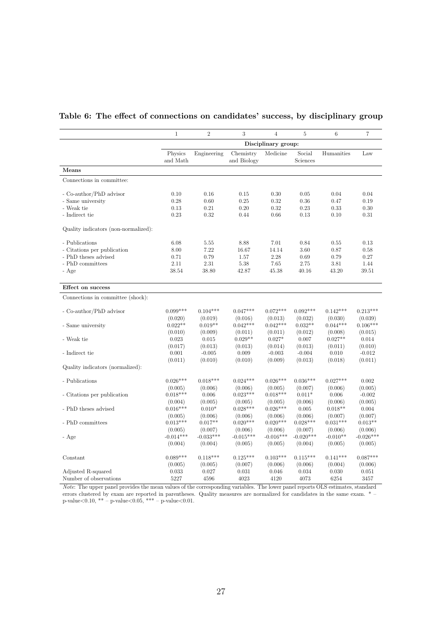|                                      | 1                   | $\overline{2}$ | 3                        | $\overline{4}$      | $\overline{5}$     | 6          | $\overline{7}$ |
|--------------------------------------|---------------------|----------------|--------------------------|---------------------|--------------------|------------|----------------|
|                                      |                     |                |                          | Disciplinary group: |                    |            |                |
|                                      | Physics<br>and Math | Engineering    | Chemistry<br>and Biology | Medicine            | Social<br>Sciences | Humanities | Law            |
| Means                                |                     |                |                          |                     |                    |            |                |
| Connections in committee:            |                     |                |                          |                     |                    |            |                |
| - Co-author/PhD advisor              | 0.10                | 0.16           | 0.15                     | 0.30                | 0.05               | 0.04       | 0.04           |
| - Same university                    | 0.28                | 0.60           | 0.25                     | 0.32                | 0.36               | 0.47       | 0.19           |
| - Weak tie                           | 0.13                | 0.21           | 0.20                     | 0.32                | 0.23               | 0.33       | 0.30           |
| - Indirect tie                       | 0.23                | 0.32           | 0.44                     | 0.66                | 0.13               | 0.10       | 0.31           |
| Quality indicators (non-normalized): |                     |                |                          |                     |                    |            |                |
| - Publications                       | 6.08                | 5.55           | 8.88                     | 7.01                | 0.84               | 0.55       | 0.13           |
| - Citations per publication          | 8.00                | 7.22           | 16.67                    | 14.14               | 3.60               | 0.87       | 0.58           |
| - PhD theses advised                 | 0.71                | 0.79           | 1.57                     | 2.28                | 0.69               | 0.79       | 0.27           |
| - PhD committees                     | 2.11                | 2.31           | 5.38                     | 7.65                | 2.75               | 3.81       | 1.44           |
| - Age                                | 38.54               | 38.80          | 42.87                    | 45.38               | 40.16              | 43.20      | 39.51          |
| Effect on success                    |                     |                |                          |                     |                    |            |                |
| Connections in committee (shock):    |                     |                |                          |                     |                    |            |                |
| - Co-author/PhD advisor              | $0.099***$          | $0.104***$     | $0.047***$               | $0.072***$          | $0.092***$         | $0.142***$ | $0.213***$     |
|                                      | (0.020)             | (0.019)        | (0.016)                  | (0.013)             | (0.032)            | (0.030)    | (0.039)        |
| - Same university                    | $0.022**$           | $0.019**$      | $0.042***$               | $0.042***$          | $0.032**$          | $0.044***$ | $0.106***$     |
|                                      | (0.010)             | (0.009)        | (0.011)                  | (0.011)             | (0.012)            | (0.008)    | (0.015)        |
| - Weak tie                           | 0.023               | 0.015          | $0.029**$                | $0.027*$            | 0.007              | $0.027**$  | 0.014          |
|                                      | (0.017)             | (0.013)        | (0.013)                  | (0.014)             | (0.013)            | (0.011)    | (0.010)        |
| - Indirect tie                       | 0.001               | $-0.005$       | 0.009                    | $-0.003$            | $-0.004$           | 0.010      | $-0.012$       |
|                                      | (0.011)             | (0.010)        | (0.010)                  | (0.009)             | (0.013)            | (0.018)    | (0.011)        |
| Quality indicators (normalized):     |                     |                |                          |                     |                    |            |                |
| - Publications                       | $0.026***$          | $0.018***$     | $0.024***$               | $0.026***$          | $0.036***$         | $0.027***$ | 0.002          |
|                                      | (0.005)             | (0.006)        | (0.006)                  | (0.005)             | (0.007)            | (0.006)    | (0.005)        |
| - Citations per publication          | $0.018***$          | 0.006          | $0.023***$               | $0.018***$          | $0.011*$           | 0.006      | $-0.002$       |
|                                      | (0.004)             | (0.005)        | (0.005)                  | (0.005)             | (0.006)            | (0.006)    | (0.005)        |
| - PhD theses advised                 | $0.016***$          | $0.010*$       | $0.028***$               | $0.026***$          | 0.005              | $0.018**$  | 0.004          |
|                                      | (0.005)             | (0.006)        | (0.006)                  | (0.006)             | (0.006)            | (0.007)    | (0.007)        |
| - PhD committees                     | $0.013***$          | $0.017**$      | $0.020***$               | $0.020***$          | $0.028***$         | $0.031***$ | $0.013**$      |
|                                      | (0.005)             | (0.007)        | (0.006)                  | (0.006)             | (0.007)            | (0.006)    | (0.006)        |
| - Age                                | $-0.014***$         | $-0.033***$    | $-0.015***$              | $-0.016***$         | $-0.020***$        | $-0.010**$ | $-0.026***$    |
|                                      | (0.004)             | (0.004)        | (0.005)                  | (0.005)             | (0.004)            | (0.005)    | (0.005)        |
| Constant                             | $0.089***$          | $0.118***$     | $0.125***$               | $0.103***$          | $0.115***$         | $0.141***$ | $0.087***$     |
|                                      | (0.005)             | (0.005)        | (0.007)                  | (0.006)             | (0.006)            | (0.004)    | (0.006)        |
| Adjusted R-squared                   | 0.033               | 0.027          | 0.031                    | 0.046               | 0.034              | 0.030      | 0.051          |
| Number of observations               | 5227                | 4596           | 4023                     | 4120                | 4073               | 6254       | 3457           |

## Table 6: The effect of connections on candidates' success, by disciplinary group

Note: The upper panel provides the mean values of the corresponding variables. The lower panel reports OLS estimates, standard errors clustered by exam are reported in parentheses. Quality measures are normalized for candidates in the same exam.  $*$  –  $p-value<0.10$ , \*\* –  $p-value<0.05$ , \*\*\* –  $p-value<0.01$ .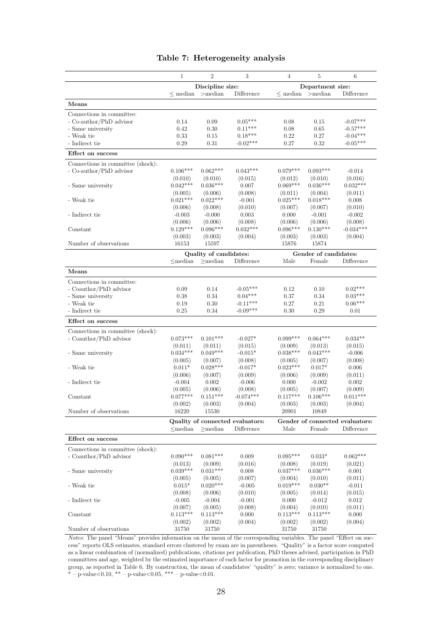|                                   | $\mathbf{1}$  | $\overline{2}$         | 3                                | $\overline{4}$ | $\overline{5}$        | 6                               |
|-----------------------------------|---------------|------------------------|----------------------------------|----------------|-----------------------|---------------------------------|
|                                   |               | Discipline size:       |                                  |                | Department size:      |                                 |
|                                   | $\leq$ median | $>$ median             | Difference                       | $\leq$ median  | $>$ median            | Difference                      |
| Means                             |               |                        |                                  |                |                       |                                 |
| Connections in committee:         |               |                        |                                  |                |                       |                                 |
| - Co-author/PhD advisor           | 0.14          | 0.09                   | $0.05***$                        | 0.08           | 0.15                  | $-0.07***$                      |
| - Same university                 | 0.42          | 0.30                   | $0.11***$                        | 0.08           | 0.65                  | $-0.57***$                      |
| - Weak tie                        | 0.33          | 0.15                   | $0.18***$                        | 0.22           | 0.27                  | $-0.04***$                      |
| - Indirect tie                    | 0.29          | 0.31                   | $-0.02***$                       | 0.27           | 0.32                  | $-0.05***$                      |
| Effect on success                 |               |                        |                                  |                |                       |                                 |
| Connections in committee (shock): |               |                        |                                  |                |                       |                                 |
| - Co-author/PhD advisor           | $0.106***$    | $0.062***$             | $0.043***$                       | $0.079***$     | $0.093***$            | $-0.014$                        |
|                                   | (0.010)       | (0.010)                | (0.015)                          | (0.012)        | (0.010)               | (0.016)                         |
| - Same university                 | $0.042***$    | $0.036***$             | 0.007                            | $0.069***$     | $0.036***$            | $0.032***$                      |
|                                   | (0.005)       | (0.006)                | (0.008)                          | (0.011)        | (0.004)               | (0.011)                         |
| - Weak tie                        | $0.021***$    | $0.022***$             | $-0.001$                         | $0.025***$     | $0.018***$            | 0.008                           |
|                                   | (0.006)       | (0.008)                | (0.010)                          | (0.007)        | (0.007)               | (0.010)                         |
| - Indirect tie                    | $-0.003$      | $-0.000$               | 0.003                            | 0.000          | $-0.001$              | $-0.002$                        |
|                                   | (0.006)       | (0.006)                | (0.008)                          | (0.006)        | (0.006)               | (0.008)                         |
| Constant                          | $0.129***$    | $0.096***$             | $0.032***$                       | $0.096***$     | $0.130***$            | $-0.034***$                     |
|                                   | (0.003)       | (0.003)                | (0.004)                          | (0.003)        | (0.003)               | (0.004)                         |
| Number of observations            | 16153         | 15597                  |                                  | 15876          | 15874                 |                                 |
|                                   |               | Quality of candidates: |                                  |                | Gender of candidates: |                                 |
|                                   | $\leq$ median | $>$ median             | Difference                       | Male           | Female                | Difference                      |
| Means                             |               |                        |                                  |                |                       |                                 |
|                                   |               |                        |                                  |                |                       |                                 |
| Connections in committee:         |               |                        |                                  |                |                       | $0.02***$                       |
| - Coauthor/PhD advisor            | 0.09          | 0.14                   | $-0.05***$                       | 0.12           | 0.10                  | $0.03***$                       |
| - Same university                 | 0.38          | 0.34                   | $0.04***$                        | 0.37           | 0.34                  |                                 |
| - Weak tie                        | 0.19          | 0.30                   | $-0.11***$                       | 0.27           | 0.21                  | $0.06***$                       |
| - Indirect tie                    | 0.25          | 0.34                   | $-0.09***$                       | 0.30           | 0.29                  | 0.01                            |
| Effect on success                 |               |                        |                                  |                |                       |                                 |
| Connections in committee (shock): |               |                        |                                  |                |                       |                                 |
| - Coauthor/PhD advisor            | $0.073***$    | $0.101***$             | $-0.027*$                        | $0.099***$     | $0.064***$            | $0.034**$                       |
|                                   | (0.011)       | (0.011)                | (0.015)                          | (0.009)        | (0.013)               | (0.015)                         |
| - Same university                 | $0.034***$    | $0.049***$             | $-0.015*$                        | $0.038***$     | $0.043***$            | $-0.006$                        |
|                                   | (0.005)       | (0.007)                | (0.008)                          | (0.005)        | (0.007)               | (0.008)                         |
| - Weak tie                        | $0.011*$      | $0.028***$             | $-0.017*$                        | $0.023***$     | $0.017*$              | 0.006                           |
|                                   | (0.006)       | (0.007)                | (0.009)                          | (0.006)        | (0.009)               | (0.011)                         |
| - Indirect tie                    | $-0.004$      | 0.002                  | $-0.006$                         | 0.000          | $-0.002$              | 0.002                           |
|                                   | (0.005)       | (0.006)                | (0.008)                          | (0.005)        | (0.007)               | (0.009)                         |
| Constant                          | $0.077***$    | $0.151***$             | $-0.074***$                      | $0.117***$     | $0.106***$            | $0.011***$                      |
|                                   | (0.002)       | (0.003)                | (0.004)                          | (0.003)        | (0.003)               | (0.004)                         |
| Number of observations            | 16220         | 15530                  |                                  | 20901          | 10849                 |                                 |
|                                   |               |                        | Quality of connected evaluators: |                |                       | Gender of connected evaluators: |
|                                   | $\leq$ median | $>$ median             | Difference                       | Male           | Female                | Difference                      |
| Effect on success                 |               |                        |                                  |                |                       |                                 |
| Connections in committee (shock): |               |                        |                                  |                |                       |                                 |
| - Coauthor/PhD advisor            | $0.090***$    | $0.081***$             | 0.009                            | $0.095***$     | $0.033*$              | $0.062***$                      |
|                                   | (0.013)       | (0.009)                | (0.016)                          | (0.008)        | (0.019)               | (0.021)                         |
| - Same university                 | $0.039***$    | $0.031***$             | 0.008                            | $0.037***$     | $0.036***$            | 0.001                           |
|                                   | (0.005)       | (0.005)                | (0.007)                          | (0.004)        | (0.010)               | (0.011)                         |
| - Weak tie                        | $0.015*$      | $0.020***$             | $-0.005$                         | $0.019***$     | $0.030**$             | $-0.011$                        |
|                                   | (0.008)       | (0.006)                | (0.010)                          | (0.005)        | (0.014)               | (0.015)                         |
| - Indirect tie                    | $-0.005$      | $-0.004$               | $-0.001$                         | 0.000          | $-0.012$              | 0.012                           |
|                                   | (0.007)       | (0.005)                | (0.008)                          | (0.004)        | (0.010)               | (0.011)                         |
| Constant                          | $0.113***$    | $0.113***$             | 0.000                            | $0.113***$     | $0.113***$            | 0.000                           |
|                                   | (0.002)       | (0.002)                | (0.004)                          | (0.002)        | (0.002)               | (0.004)                         |
| Number of observations            | 31750         | 31750                  |                                  | 31750          | 31750                 |                                 |

#### Table 7: Heterogeneity analysis

Notes: The panel "Means" provides information on the mean of the corresponding variables. The panel "Effect on success" reports OLS estimates, standard errors clustered by exam are in parentheses. "Quality" is a factor score computed as a linear combination of (normalized) publications, citations per publication, PhD theses advised, participation in PhD committees and age, weighted by the estimated importance of each factor for promotion in the corresponding disciplinary group, as reported in Table 6. By construction, the mean of candidates' "quality" is zero; variance is normalized to one. \* – p-value<0.10, \*\* – p-value<0.05, \*\*\* – p-value<0.01.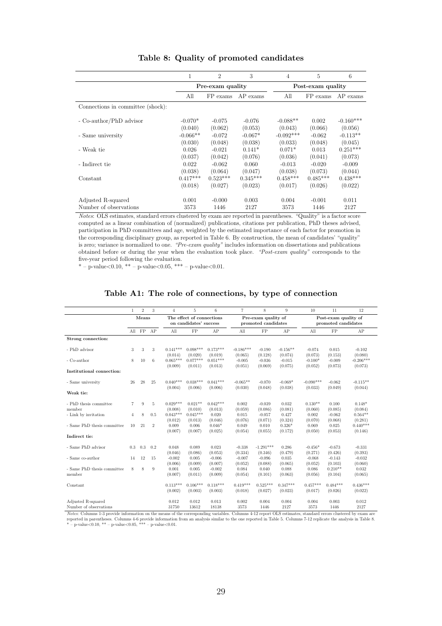|                                   | 1          | $\overline{2}$   | 3          | 4           | 5                 | 6           |
|-----------------------------------|------------|------------------|------------|-------------|-------------------|-------------|
|                                   |            | Pre-exam quality |            |             | Post-exam quality |             |
|                                   | All        | FP exams         | $AP$ exams | All         | FP exams          | $AP$ exams  |
| Connections in committee (shock): |            |                  |            |             |                   |             |
| - Co-author/PhD advisor           | $-0.070*$  | $-0.075$         | $-0.076$   | $-0.088**$  | 0.002             | $-0.160***$ |
|                                   | (0.040)    | (0.062)          | (0.053)    | (0.043)     | (0.066)           | (0.056)     |
| - Same university                 | $-0.066**$ | $-0.072$         | $-0.067*$  | $-0.092***$ | $-0.062$          | $-0.113**$  |
|                                   | (0.030)    | (0.048)          | (0.038)    | (0.033)     | (0.048)           | (0.045)     |
| - Weak tie                        | 0.026      | $-0.021$         | $0.141*$   | $0.071*$    | 0.013             | $0.251***$  |
|                                   | (0.037)    | (0.042)          | (0.076)    | (0.036)     | (0.041)           | (0.073)     |
| - Indirect tie                    | 0.022      | $-0.062$         | 0.060      | $-0.013$    | $-0.020$          | $-0.009$    |
|                                   | (0.038)    | (0.064)          | (0.047)    | (0.038)     | (0.073)           | (0.044)     |
| Constant                          | $0.417***$ | $0.523***$       | $0.345***$ | $0.458***$  | $0.485***$        | $0.438***$  |
|                                   | (0.018)    | (0.027)          | (0.023)    | (0.017)     | (0.026)           | (0.022)     |
| Adjusted R-squared                | 0.001      | $-0.000$         | 0.003      | 0.004       | $-0.001$          | 0.011       |
| Number of observations            | 3573       | 1446             | 2127       | 3573        | 1446              | 2127        |

#### Table 8: Quality of promoted candidates

Notes: OLS estimates, standard errors clustered by exam are reported in parentheses. "Quality" is a factor score computed as a linear combination of (normalized) publications, citations per publication, PhD theses advised, participation in PhD committees and age, weighted by the estimated importance of each factor for promotion in the corresponding disciplinary group, as reported in Table 6. By construction, the mean of candidates' "quality" is zero; variance is normalized to one. "Pre-exam quality" includes information on dissertations and publications obtained before or during the year when the evaluation took place. "Post-exam quality" corresponds to the five-year period following the evaluation.

\* – p-value<0.10, \*\* – p-value<0.05, \*\*\* – p-value<0.01.

#### Table A1: The role of connections, by type of connection

|                                              | $\mathbf{1}$   | $\overline{2}$ | 3              | $\overline{4}$        | 5                         | 6                     | $\overline{7}$         | 8                                          | 9                     | 10                     | 11                                          | 12                     |
|----------------------------------------------|----------------|----------------|----------------|-----------------------|---------------------------|-----------------------|------------------------|--------------------------------------------|-----------------------|------------------------|---------------------------------------------|------------------------|
|                                              |                | Means          |                |                       | The effect of connections |                       |                        |                                            |                       |                        |                                             |                        |
|                                              |                |                |                |                       | on candidates' success    |                       |                        | Pre-exam quality of<br>promoted candidates |                       |                        | Post-exam quality of<br>promoted candidates |                        |
|                                              |                | All FP AP      |                | A11                   | FP                        | AP                    | All                    | FP                                         | AP                    | A11                    | FP                                          | AP                     |
| Strong connection:                           |                |                |                |                       |                           |                       |                        |                                            |                       |                        |                                             |                        |
| - PhD advisor                                | 3              | 3              | 3              | $0.141***$<br>(0.014) | $0.098***$<br>(0.020)     | $0.173***$<br>(0.019) | $-0.186***$<br>(0.065) | $-0.190$<br>(0.128)                        | $-0.156**$<br>(0.074) | $-0.074$<br>(0.073)    | 0.015<br>(0.153)                            | $-0.102$<br>(0.080)    |
| - Co-author                                  | 8              | 10             | 6              | $0.065***$<br>(0.009) | $0.077***$<br>(0.011)     | $0.051***$<br>(0.013) | $-0.005$<br>(0.051)    | $-0.036$<br>(0.069)                        | $-0.015$<br>(0.075)   | $-0.100*$<br>(0.052)   | $-0.009$<br>(0.073)                         | $-0.206***$<br>(0.073) |
| Institutional connection:                    |                |                |                |                       |                           |                       |                        |                                            |                       |                        |                                             |                        |
| - Same university                            | 26             | 28             | 25             | $0.040***$<br>(0.004) | $0.038***$<br>(0.006)     | $0.041***$<br>(0.006) | $-0.065**$<br>(0.030)  | $-0.070$<br>(0.048)                        | $-0.069*$<br>(0.038)  | $-0.090***$<br>(0.033) | $-0.062$<br>(0.049)                         | $-0.115**$<br>(0.044)  |
| Weak tie:                                    |                |                |                |                       |                           |                       |                        |                                            |                       |                        |                                             |                        |
| - PhD thesis committee<br>member             | $\overline{7}$ | 9              | 5              | $0.029***$<br>(0.008) | $0.021**$<br>(0.010)      | $0.042***$<br>(0.013) | 0.002<br>(0.059)       | $-0.039$<br>(0.086)                        | 0.032<br>(0.081)      | $0.130**$<br>(0.060)   | 0.100<br>(0.085)                            | $0.148*$<br>(0.084)    |
| - Link by invitation                         | 4              | 8              | 0.5            | $0.043***$<br>(0.012) | $0.045***$<br>(0.013)     | 0.020<br>(0.046)      | 0.015<br>(0.076)       | $-0.057$<br>(0.071)                        | 0.427<br>(0.324)      | 0.002<br>(0.070)       | $-0.062$<br>(0.068)                         | $0.564**$<br>(0.281)   |
| - Same PhD thesis committee                  | 10             | 21             | $\overline{2}$ | 0.009<br>(0.007)      | 0.006<br>(0.007)          | $0.046*$<br>(0.025)   | 0.049<br>(0.054)       | 0.010<br>(0.055)                           | $0.326*$<br>(0.172)   | 0.069<br>(0.050)       | 0.025<br>(0.053)                            | $0.440***$<br>(0.146)  |
| Indirect tie:                                |                |                |                |                       |                           |                       |                        |                                            |                       |                        |                                             |                        |
| - Same PhD advisor                           | 0.3            | 0.3            | 0.2            | 0.048<br>(0.046)      | 0.089<br>(0.086)          | 0.023<br>(0.053)      | $-0.338$<br>(0.334)    | $-1.291***$<br>(0.346)                     | 0.286<br>(0.479)      | $-0.456*$<br>(0.271)   | $-0.673$<br>(0.426)                         | $-0.331$<br>(0.393)    |
| - Same co-author                             | 14             | 12             | 15             | $-0.002$<br>(0.006)   | 0.005<br>(0.009)          | $-0.006$<br>(0.007)   | $-0.007$<br>(0.052)    | $-0.096$<br>(0.088)                        | 0.035<br>(0.065)      | $-0.068$<br>(0.052)    | $-0.143$<br>(0.103)                         | $-0.032$<br>(0.060)    |
| - Same PhD thesis committee<br>member        | 8              | 8              | 9              | 0.001<br>(0.007)      | 0.005<br>(0.011)          | $-0.002$<br>(0.009)   | 0.084<br>(0.054)       | 0.040<br>(0.101)                           | 0.088<br>(0.063)      | 0.086<br>(0.056)       | $0.210**$<br>(0.104)                        | 0.032<br>(0.065)       |
| Constant                                     |                |                |                | $0.113***$<br>(0.002) | $0.106***$<br>(0.003)     | $0.118***$<br>(0.003) | $0.419***$<br>(0.018)  | $0.525***$<br>(0.027)                      | $0.347***$<br>(0.023) | $0.457***$<br>(0.017)  | $0.484***$<br>(0.026)                       | $0.436***$<br>(0.022)  |
| Adjusted R-squared<br>Number of observations |                |                |                | 0.012<br>31750        | 0.012<br>13612            | 0.013<br>18138        | 0.002<br>3573          | 0.004<br>1446                              | 0.004<br>2127         | 0.004<br>3573          | 0.003<br>1446                               | 0.012<br>2127          |

Notes: Columns 1-3 provide information on the means of the corresponding variables. Columns 4-12 report OLS estimates, standard errors clustered by exam are are  $N$ reported in parentheses. Columns 4-6 provide information from an analysis similar to the one reported in Table 5. Columns 7-12 replicate the analysis in Table 8.<br>\* – p-value<0.10, \*\* – p-value<0.05, \*\*\* – p-value<0.01.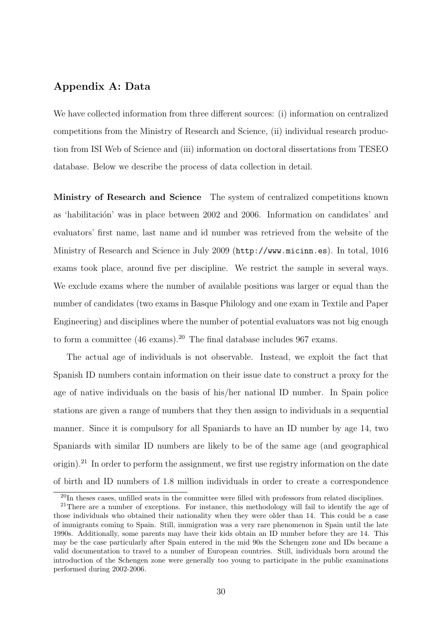## Appendix A: Data

We have collected information from three different sources: (i) information on centralized competitions from the Ministry of Research and Science, (ii) individual research production from ISI Web of Science and (iii) information on doctoral dissertations from TESEO database. Below we describe the process of data collection in detail.

Ministry of Research and Science The system of centralized competitions known as 'habilitación' was in place between 2002 and 2006. Information on candidates' and evaluators' first name, last name and id number was retrieved from the website of the Ministry of Research and Science in July 2009 (http://www.micinn.es). In total, 1016 exams took place, around five per discipline. We restrict the sample in several ways. We exclude exams where the number of available positions was larger or equal than the number of candidates (two exams in Basque Philology and one exam in Textile and Paper Engineering) and disciplines where the number of potential evaluators was not big enough to form a committee  $(46 \text{ exams})^{20}$ . The final database includes 967 exams.

The actual age of individuals is not observable. Instead, we exploit the fact that Spanish ID numbers contain information on their issue date to construct a proxy for the age of native individuals on the basis of his/her national ID number. In Spain police stations are given a range of numbers that they then assign to individuals in a sequential manner. Since it is compulsory for all Spaniards to have an ID number by age 14, two Spaniards with similar ID numbers are likely to be of the same age (and geographical origin).<sup>21</sup> In order to perform the assignment, we first use registry information on the date of birth and ID numbers of 1.8 million individuals in order to create a correspondence

<sup>20</sup>In theses cases, unfilled seats in the committee were filled with professors from related disciplines.

<sup>&</sup>lt;sup>21</sup>There are a number of exceptions. For instance, this methodology will fail to identify the age of those individuals who obtained their nationality when they were older than 14. This could be a case of immigrants coming to Spain. Still, immigration was a very rare phenomenon in Spain until the late 1990s. Additionally, some parents may have their kids obtain an ID number before they are 14. This may be the case particularly after Spain entered in the mid 90s the Schengen zone and IDs became a valid documentation to travel to a number of European countries. Still, individuals born around the introduction of the Schengen zone were generally too young to participate in the public examinations performed during 2002-2006.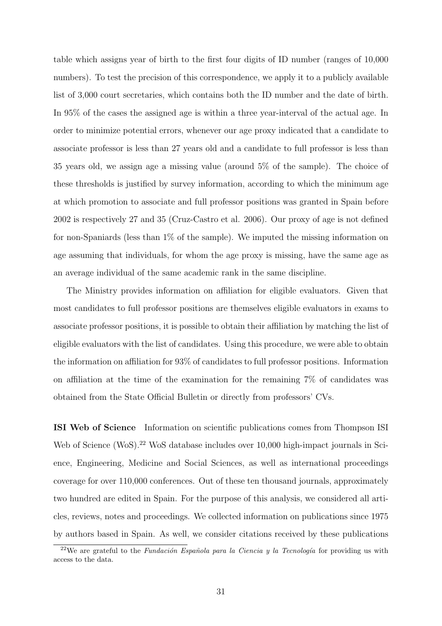table which assigns year of birth to the first four digits of ID number (ranges of 10,000 numbers). To test the precision of this correspondence, we apply it to a publicly available list of 3,000 court secretaries, which contains both the ID number and the date of birth. In 95% of the cases the assigned age is within a three year-interval of the actual age. In order to minimize potential errors, whenever our age proxy indicated that a candidate to associate professor is less than 27 years old and a candidate to full professor is less than 35 years old, we assign age a missing value (around 5% of the sample). The choice of these thresholds is justified by survey information, according to which the minimum age at which promotion to associate and full professor positions was granted in Spain before 2002 is respectively 27 and 35 (Cruz-Castro et al. 2006). Our proxy of age is not defined for non-Spaniards (less than 1% of the sample). We imputed the missing information on age assuming that individuals, for whom the age proxy is missing, have the same age as an average individual of the same academic rank in the same discipline.

The Ministry provides information on affiliation for eligible evaluators. Given that most candidates to full professor positions are themselves eligible evaluators in exams to associate professor positions, it is possible to obtain their affiliation by matching the list of eligible evaluators with the list of candidates. Using this procedure, we were able to obtain the information on affiliation for 93% of candidates to full professor positions. Information on affiliation at the time of the examination for the remaining 7% of candidates was obtained from the State Official Bulletin or directly from professors' CVs.

ISI Web of Science Information on scientific publications comes from Thompson ISI Web of Science (WoS).<sup>22</sup> WoS database includes over 10,000 high-impact journals in Science, Engineering, Medicine and Social Sciences, as well as international proceedings coverage for over 110,000 conferences. Out of these ten thousand journals, approximately two hundred are edited in Spain. For the purpose of this analysis, we considered all articles, reviews, notes and proceedings. We collected information on publications since 1975 by authors based in Spain. As well, we consider citations received by these publications

<sup>&</sup>lt;sup>22</sup>We are grateful to the *Fundación Española para la Ciencia y la Tecnología* for providing us with access to the data.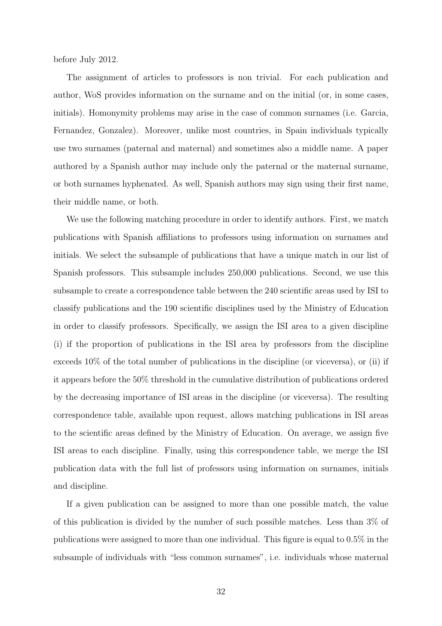before July 2012.

The assignment of articles to professors is non trivial. For each publication and author, WoS provides information on the surname and on the initial (or, in some cases, initials). Homonymity problems may arise in the case of common surnames (i.e. Garcia, Fernandez, Gonzalez). Moreover, unlike most countries, in Spain individuals typically use two surnames (paternal and maternal) and sometimes also a middle name. A paper authored by a Spanish author may include only the paternal or the maternal surname, or both surnames hyphenated. As well, Spanish authors may sign using their first name, their middle name, or both.

We use the following matching procedure in order to identify authors. First, we match publications with Spanish affiliations to professors using information on surnames and initials. We select the subsample of publications that have a unique match in our list of Spanish professors. This subsample includes 250,000 publications. Second, we use this subsample to create a correspondence table between the 240 scientific areas used by ISI to classify publications and the 190 scientific disciplines used by the Ministry of Education in order to classify professors. Specifically, we assign the ISI area to a given discipline (i) if the proportion of publications in the ISI area by professors from the discipline exceeds 10% of the total number of publications in the discipline (or viceversa), or (ii) if it appears before the 50% threshold in the cumulative distribution of publications ordered by the decreasing importance of ISI areas in the discipline (or viceversa). The resulting correspondence table, available upon request, allows matching publications in ISI areas to the scientific areas defined by the Ministry of Education. On average, we assign five ISI areas to each discipline. Finally, using this correspondence table, we merge the ISI publication data with the full list of professors using information on surnames, initials and discipline.

If a given publication can be assigned to more than one possible match, the value of this publication is divided by the number of such possible matches. Less than 3% of publications were assigned to more than one individual. This figure is equal to 0.5% in the subsample of individuals with "less common surnames", i.e. individuals whose maternal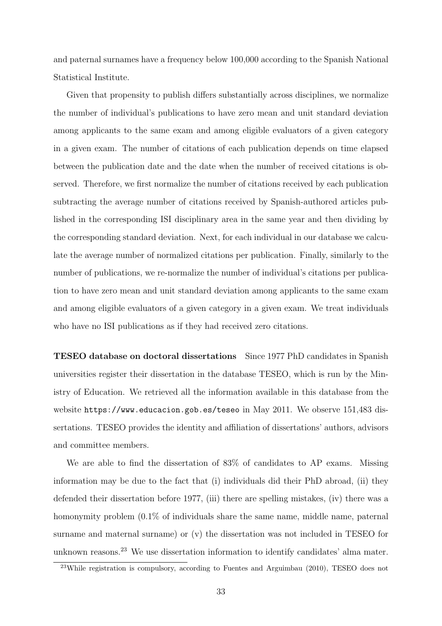and paternal surnames have a frequency below 100,000 according to the Spanish National Statistical Institute.

Given that propensity to publish differs substantially across disciplines, we normalize the number of individual's publications to have zero mean and unit standard deviation among applicants to the same exam and among eligible evaluators of a given category in a given exam. The number of citations of each publication depends on time elapsed between the publication date and the date when the number of received citations is observed. Therefore, we first normalize the number of citations received by each publication subtracting the average number of citations received by Spanish-authored articles published in the corresponding ISI disciplinary area in the same year and then dividing by the corresponding standard deviation. Next, for each individual in our database we calculate the average number of normalized citations per publication. Finally, similarly to the number of publications, we re-normalize the number of individual's citations per publication to have zero mean and unit standard deviation among applicants to the same exam and among eligible evaluators of a given category in a given exam. We treat individuals who have no ISI publications as if they had received zero citations.

TESEO database on doctoral dissertations Since 1977 PhD candidates in Spanish universities register their dissertation in the database TESEO, which is run by the Ministry of Education. We retrieved all the information available in this database from the website https://www.educacion.gob.es/teseo in May 2011. We observe 151,483 dissertations. TESEO provides the identity and affiliation of dissertations' authors, advisors and committee members.

We are able to find the dissertation of 83% of candidates to AP exams. Missing information may be due to the fact that (i) individuals did their PhD abroad, (ii) they defended their dissertation before 1977, (iii) there are spelling mistakes, (iv) there was a homonymity problem  $(0.1\%$  of individuals share the same name, middle name, paternal surname and maternal surname) or (v) the dissertation was not included in TESEO for unknown reasons.<sup>23</sup> We use dissertation information to identify candidates' alma mater.

<sup>23</sup>While registration is compulsory, according to Fuentes and Arguimbau (2010), TESEO does not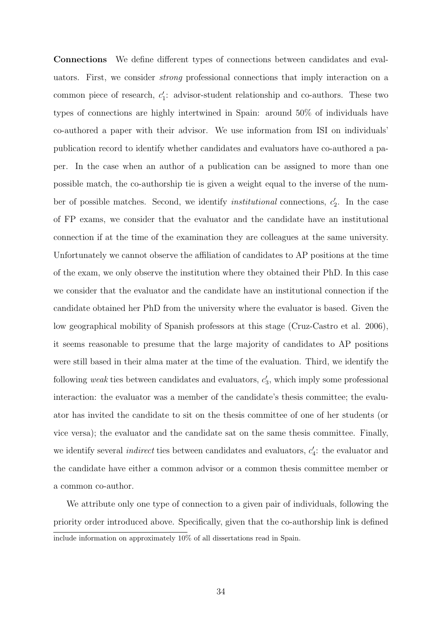Connections We define different types of connections between candidates and evaluators. First, we consider strong professional connections that imply interaction on a common piece of research,  $c'_1$ : advisor-student relationship and co-authors. These two types of connections are highly intertwined in Spain: around 50% of individuals have co-authored a paper with their advisor. We use information from ISI on individuals' publication record to identify whether candidates and evaluators have co-authored a paper. In the case when an author of a publication can be assigned to more than one possible match, the co-authorship tie is given a weight equal to the inverse of the number of possible matches. Second, we identify *institutional* connections,  $c_2'$ . In the case of FP exams, we consider that the evaluator and the candidate have an institutional connection if at the time of the examination they are colleagues at the same university. Unfortunately we cannot observe the affiliation of candidates to AP positions at the time of the exam, we only observe the institution where they obtained their PhD. In this case we consider that the evaluator and the candidate have an institutional connection if the candidate obtained her PhD from the university where the evaluator is based. Given the low geographical mobility of Spanish professors at this stage (Cruz-Castro et al. 2006), it seems reasonable to presume that the large majority of candidates to AP positions were still based in their alma mater at the time of the evaluation. Third, we identify the following *weak* ties between candidates and evaluators,  $c'_3$ , which imply some professional interaction: the evaluator was a member of the candidate's thesis committee; the evaluator has invited the candidate to sit on the thesis committee of one of her students (or vice versa); the evaluator and the candidate sat on the same thesis committee. Finally, we identify several *indirect* ties between candidates and evaluators,  $c_4$ : the evaluator and the candidate have either a common advisor or a common thesis committee member or a common co-author.

We attribute only one type of connection to a given pair of individuals, following the priority order introduced above. Specifically, given that the co-authorship link is defined include information on approximately 10% of all dissertations read in Spain.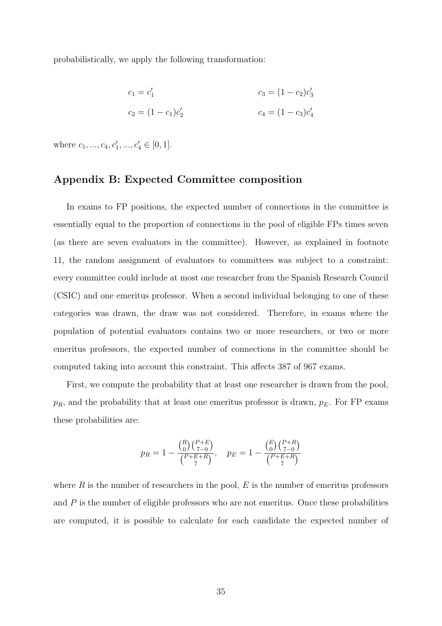probabilistically, we apply the following transformation:

$$
c_1 = c'_1
$$
  
\n
$$
c_2 = (1 - c_1)c'_2
$$
  
\n
$$
c_3 = (1 - c_2)c'_3
$$
  
\n
$$
c_4 = (1 - c_3)c'_4
$$

where  $c_1, ..., c_4, c'_1, ..., c'_4 \in [0, 1].$ 

## Appendix B: Expected Committee composition

In exams to FP positions, the expected number of connections in the committee is essentially equal to the proportion of connections in the pool of eligible FPs times seven (as there are seven evaluators in the committee). However, as explained in footnote 11, the random assignment of evaluators to committees was subject to a constraint: every committee could include at most one researcher from the Spanish Research Council (CSIC) and one emeritus professor. When a second individual belonging to one of these categories was drawn, the draw was not considered. Therefore, in exams where the population of potential evaluators contains two or more researchers, or two or more emeritus professors, the expected number of connections in the committee should be computed taking into account this constraint. This affects 387 of 967 exams.

First, we compute the probability that at least one researcher is drawn from the pool,  $p_R$ , and the probability that at least one emeritus professor is drawn,  $p_E$ . For FP exams these probabilities are:

$$
p_R = 1 - \frac{\binom{R}{0}\binom{P+E}{7-0}}{\binom{P+E+R}{7}}, \quad p_E = 1 - \frac{\binom{E}{0}\binom{P+R}{7-0}}{\binom{P+E+R}{7}}
$$

where  $R$  is the number of researchers in the pool,  $E$  is the number of emeritus professors and  $P$  is the number of eligible professors who are not emeritus. Once these probabilities are computed, it is possible to calculate for each candidate the expected number of